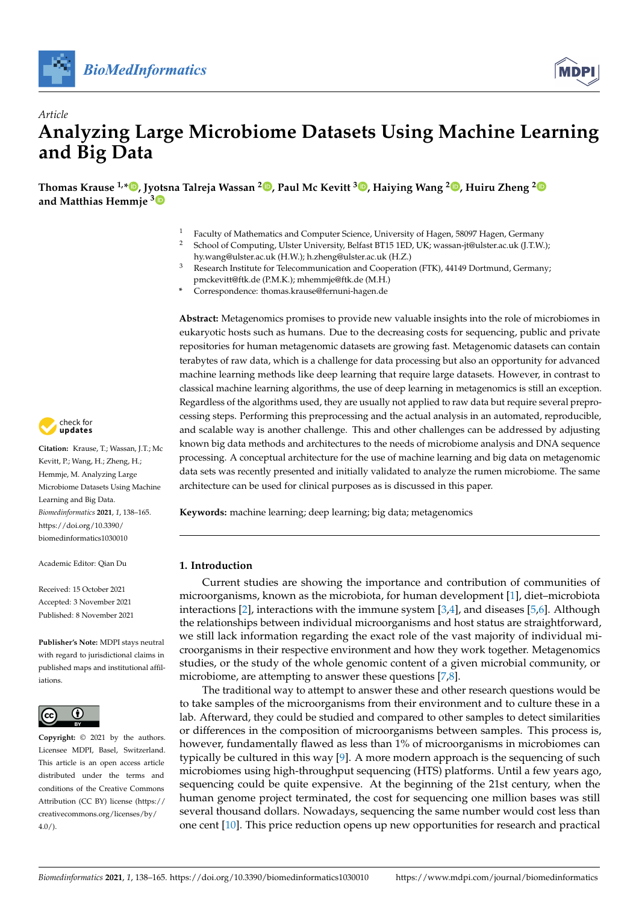



# *Article* **Analyzing Large Microbiome Datasets Using Machine Learning and Big Data**

**Thomas Krause 1,\* [,](https://orcid.org/0000-0003-4912-1703) Jy[ots](https://orcid.org/0000-0001-8293-2802)na Talreja Wassan <sup>2</sup> [,](https://orcid.org/0000-0002-9116-8962) Paul Mc Kevitt <sup>3</sup> [,](https://orcid.org/0000-0001-9715-1590) Haiying Wang <sup>2</sup> [,](https://orcid.org/0000-0001-8358-9065) Huiru Zheng [2](https://orcid.org/0000-0001-7648-8709) and Matthias Hemmje <sup>3</sup>**

- <sup>1</sup> Faculty of Mathematics and Computer Science, University of Hagen, 58097 Hagen, Germany<br><sup>2</sup> School of Computing J Ilster University Bolfast BT15 J ED J IK: wassen, it@ulster.co.uk (LT W
- <sup>2</sup> School of Computing, Ulster University, Belfast BT15 1ED, UK; wassan-jt@ulster.ac.uk (J.T.W.); hy.wang@ulster.ac.uk (H.W.); h.zheng@ulster.ac.uk (H.Z.)
- <sup>3</sup> Research Institute for Telecommunication and Cooperation (FTK), 44149 Dortmund, Germany; pmckevitt@ftk.de (P.M.K.); mhemmje@ftk.de (M.H.)
- **\*** Correspondence: thomas.krause@fernuni-hagen.de

**Abstract:** Metagenomics promises to provide new valuable insights into the role of microbiomes in eukaryotic hosts such as humans. Due to the decreasing costs for sequencing, public and private repositories for human metagenomic datasets are growing fast. Metagenomic datasets can contain terabytes of raw data, which is a challenge for data processing but also an opportunity for advanced machine learning methods like deep learning that require large datasets. However, in contrast to classical machine learning algorithms, the use of deep learning in metagenomics is still an exception. Regardless of the algorithms used, they are usually not applied to raw data but require several preprocessing steps. Performing this preprocessing and the actual analysis in an automated, reproducible, and scalable way is another challenge. This and other challenges can be addressed by adjusting known big data methods and architectures to the needs of microbiome analysis and DNA sequence processing. A conceptual architecture for the use of machine learning and big data on metagenomic data sets was recently presented and initially validated to analyze the rumen microbiome. The same architecture can be used for clinical purposes as is discussed in this paper.

**Keywords:** machine learning; deep learning; big data; metagenomics

#### **1. Introduction**

Current studies are showing the importance and contribution of communities of microorganisms, known as the microbiota, for human development [\[1\]](#page-24-0), diet–microbiota interactions [\[2\]](#page-24-1), interactions with the immune system [\[3](#page-24-2)[,4\]](#page-24-3), and diseases [\[5,](#page-24-4)[6\]](#page-24-5). Although the relationships between individual microorganisms and host status are straightforward, we still lack information regarding the exact role of the vast majority of individual microorganisms in their respective environment and how they work together. Metagenomics studies, or the study of the whole genomic content of a given microbial community, or microbiome, are attempting to answer these questions [\[7](#page-24-6)[,8\]](#page-24-7).

The traditional way to attempt to answer these and other research questions would be to take samples of the microorganisms from their environment and to culture these in a lab. Afterward, they could be studied and compared to other samples to detect similarities or differences in the composition of microorganisms between samples. This process is, however, fundamentally flawed as less than 1% of microorganisms in microbiomes can typically be cultured in this way [\[9\]](#page-24-8). A more modern approach is the sequencing of such microbiomes using high-throughput sequencing (HTS) platforms. Until a few years ago, sequencing could be quite expensive. At the beginning of the 21st century, when the human genome project terminated, the cost for sequencing one million bases was still several thousand dollars. Nowadays, sequencing the same number would cost less than one cent [\[10\]](#page-24-9). This price reduction opens up new opportunities for research and practical



**Citation:** Krause, T.; Wassan, J.T.; Mc Kevitt, P.; Wang, H.; Zheng, H.; Hemmje, M. Analyzing Large Microbiome Datasets Using Machine Learning and Big Data. *Biomedinformatics* **2021**, *1*, 138–165. [https://doi.org/10.3390/](https://doi.org/10.3390/biomedinformatics1030010) [biomedinformatics1030010](https://doi.org/10.3390/biomedinformatics1030010)

Academic Editor: Qian Du

Received: 15 October 2021 Accepted: 3 November 2021 Published: 8 November 2021

**Publisher's Note:** MDPI stays neutral with regard to jurisdictional claims in published maps and institutional affiliations.



**Copyright:** © 2021 by the authors. Licensee MDPI, Basel, Switzerland. This article is an open access article distributed under the terms and conditions of the Creative Commons Attribution (CC BY) license (https:/[/](https://creativecommons.org/licenses/by/4.0/) [creativecommons.org/licenses/by/](https://creativecommons.org/licenses/by/4.0/) 4.0/).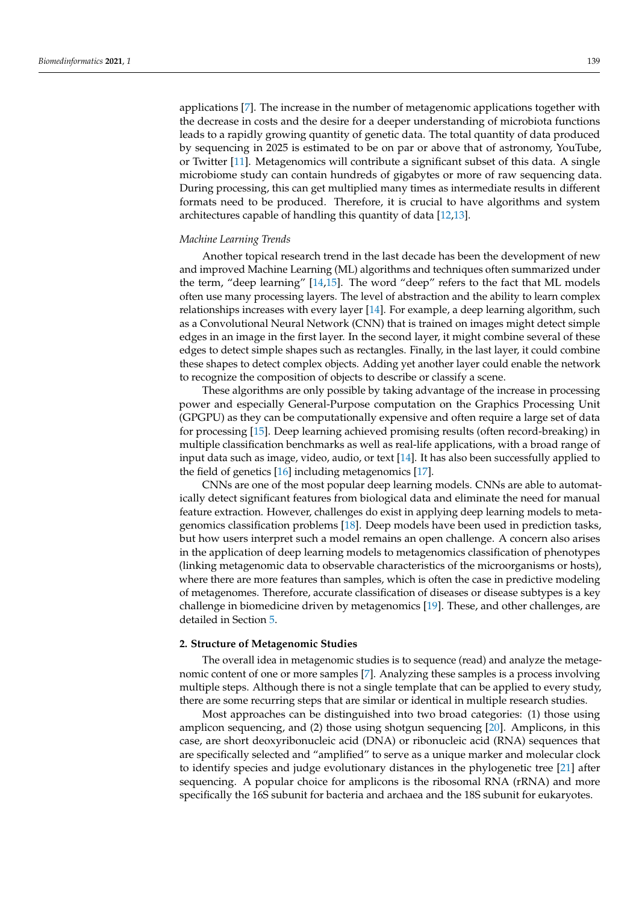applications [\[7\]](#page-24-6). The increase in the number of metagenomic applications together with the decrease in costs and the desire for a deeper understanding of microbiota functions leads to a rapidly growing quantity of genetic data. The total quantity of data produced by sequencing in 2025 is estimated to be on par or above that of astronomy, YouTube, or Twitter [\[11\]](#page-24-10). Metagenomics will contribute a significant subset of this data. A single microbiome study can contain hundreds of gigabytes or more of raw sequencing data. During processing, this can get multiplied many times as intermediate results in different formats need to be produced. Therefore, it is crucial to have algorithms and system architectures capable of handling this quantity of data [\[12](#page-24-11)[,13\]](#page-24-12).

## *Machine Learning Trends*

Another topical research trend in the last decade has been the development of new and improved Machine Learning (ML) algorithms and techniques often summarized under the term, "deep learning" [\[14](#page-24-13)[,15\]](#page-24-14). The word "deep" refers to the fact that ML models often use many processing layers. The level of abstraction and the ability to learn complex relationships increases with every layer [\[14\]](#page-24-13). For example, a deep learning algorithm, such as a Convolutional Neural Network (CNN) that is trained on images might detect simple edges in an image in the first layer. In the second layer, it might combine several of these edges to detect simple shapes such as rectangles. Finally, in the last layer, it could combine these shapes to detect complex objects. Adding yet another layer could enable the network to recognize the composition of objects to describe or classify a scene.

These algorithms are only possible by taking advantage of the increase in processing power and especially General-Purpose computation on the Graphics Processing Unit (GPGPU) as they can be computationally expensive and often require a large set of data for processing [\[15\]](#page-24-14). Deep learning achieved promising results (often record-breaking) in multiple classification benchmarks as well as real-life applications, with a broad range of input data such as image, video, audio, or text [\[14\]](#page-24-13). It has also been successfully applied to the field of genetics [\[16\]](#page-24-15) including metagenomics [\[17\]](#page-24-16).

CNNs are one of the most popular deep learning models. CNNs are able to automatically detect significant features from biological data and eliminate the need for manual feature extraction. However, challenges do exist in applying deep learning models to metagenomics classification problems [\[18\]](#page-24-17). Deep models have been used in prediction tasks, but how users interpret such a model remains an open challenge. A concern also arises in the application of deep learning models to metagenomics classification of phenotypes (linking metagenomic data to observable characteristics of the microorganisms or hosts), where there are more features than samples, which is often the case in predictive modeling of metagenomes. Therefore, accurate classification of diseases or disease subtypes is a key challenge in biomedicine driven by metagenomics [\[19\]](#page-24-18). These, and other challenges, are detailed in Section [5.](#page-17-0)

# **2. Structure of Metagenomic Studies**

The overall idea in metagenomic studies is to sequence (read) and analyze the metagenomic content of one or more samples [\[7\]](#page-24-6). Analyzing these samples is a process involving multiple steps. Although there is not a single template that can be applied to every study, there are some recurring steps that are similar or identical in multiple research studies.

Most approaches can be distinguished into two broad categories: (1) those using amplicon sequencing, and (2) those using shotgun sequencing [\[20\]](#page-24-19). Amplicons, in this case, are short deoxyribonucleic acid (DNA) or ribonucleic acid (RNA) sequences that are specifically selected and "amplified" to serve as a unique marker and molecular clock to identify species and judge evolutionary distances in the phylogenetic tree [\[21\]](#page-24-20) after sequencing. A popular choice for amplicons is the ribosomal RNA (rRNA) and more specifically the 16S subunit for bacteria and archaea and the 18S subunit for eukaryotes.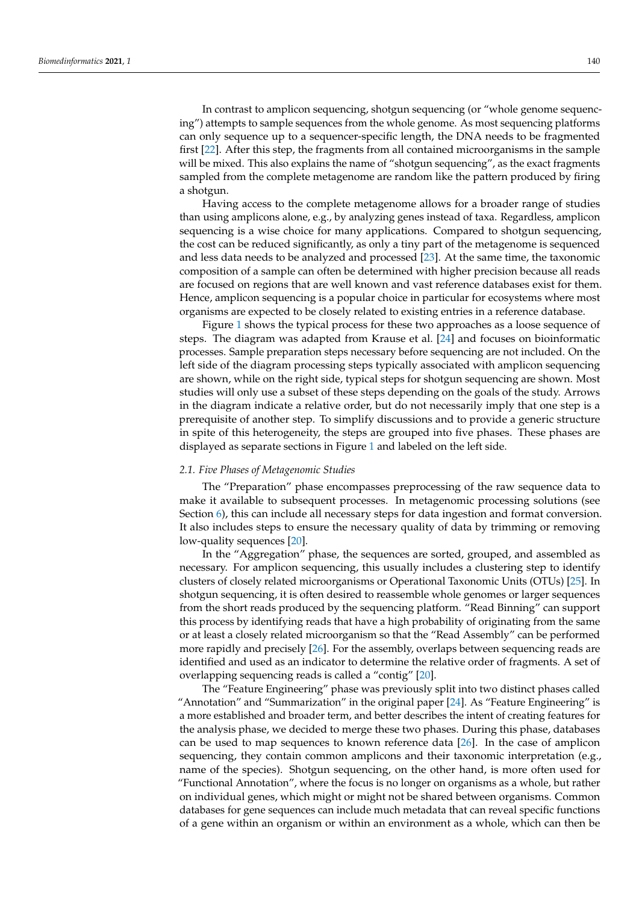In contrast to amplicon sequencing, shotgun sequencing (or "whole genome sequencing") attempts to sample sequences from the whole genome. As most sequencing platforms can only sequence up to a sequencer-specific length, the DNA needs to be fragmented first [\[22\]](#page-24-21). After this step, the fragments from all contained microorganisms in the sample will be mixed. This also explains the name of "shotgun sequencing", as the exact fragments sampled from the complete metagenome are random like the pattern produced by firing a shotgun.

Having access to the complete metagenome allows for a broader range of studies than using amplicons alone, e.g., by analyzing genes instead of taxa. Regardless, amplicon sequencing is a wise choice for many applications. Compared to shotgun sequencing, the cost can be reduced significantly, as only a tiny part of the metagenome is sequenced and less data needs to be analyzed and processed [\[23\]](#page-24-22). At the same time, the taxonomic composition of a sample can often be determined with higher precision because all reads are focused on regions that are well known and vast reference databases exist for them. Hence, amplicon sequencing is a popular choice in particular for ecosystems where most organisms are expected to be closely related to existing entries in a reference database.

Figure [1](#page-3-0) shows the typical process for these two approaches as a loose sequence of steps. The diagram was adapted from Krause et al. [\[24\]](#page-24-23) and focuses on bioinformatic processes. Sample preparation steps necessary before sequencing are not included. On the left side of the diagram processing steps typically associated with amplicon sequencing are shown, while on the right side, typical steps for shotgun sequencing are shown. Most studies will only use a subset of these steps depending on the goals of the study. Arrows in the diagram indicate a relative order, but do not necessarily imply that one step is a prerequisite of another step. To simplify discussions and to provide a generic structure in spite of this heterogeneity, the steps are grouped into five phases. These phases are displayed as separate sections in Figure [1](#page-3-0) and labeled on the left side.

## *2.1. Five Phases of Metagenomic Studies*

The "Preparation" phase encompasses preprocessing of the raw sequence data to make it available to subsequent processes. In metagenomic processing solutions (see Section  $6$ ), this can include all necessary steps for data ingestion and format conversion. It also includes steps to ensure the necessary quality of data by trimming or removing low-quality sequences [\[20\]](#page-24-19).

In the "Aggregation" phase, the sequences are sorted, grouped, and assembled as necessary. For amplicon sequencing, this usually includes a clustering step to identify clusters of closely related microorganisms or Operational Taxonomic Units (OTUs) [\[25\]](#page-24-24). In shotgun sequencing, it is often desired to reassemble whole genomes or larger sequences from the short reads produced by the sequencing platform. "Read Binning" can support this process by identifying reads that have a high probability of originating from the same or at least a closely related microorganism so that the "Read Assembly" can be performed more rapidly and precisely [\[26\]](#page-25-0). For the assembly, overlaps between sequencing reads are identified and used as an indicator to determine the relative order of fragments. A set of overlapping sequencing reads is called a "contig" [\[20\]](#page-24-19).

The "Feature Engineering" phase was previously split into two distinct phases called "Annotation" and "Summarization" in the original paper [\[24\]](#page-24-23). As "Feature Engineering" is a more established and broader term, and better describes the intent of creating features for the analysis phase, we decided to merge these two phases. During this phase, databases can be used to map sequences to known reference data [\[26\]](#page-25-0). In the case of amplicon sequencing, they contain common amplicons and their taxonomic interpretation (e.g., name of the species). Shotgun sequencing, on the other hand, is more often used for "Functional Annotation", where the focus is no longer on organisms as a whole, but rather on individual genes, which might or might not be shared between organisms. Common databases for gene sequences can include much metadata that can reveal specific functions of a gene within an organism or within an environment as a whole, which can then be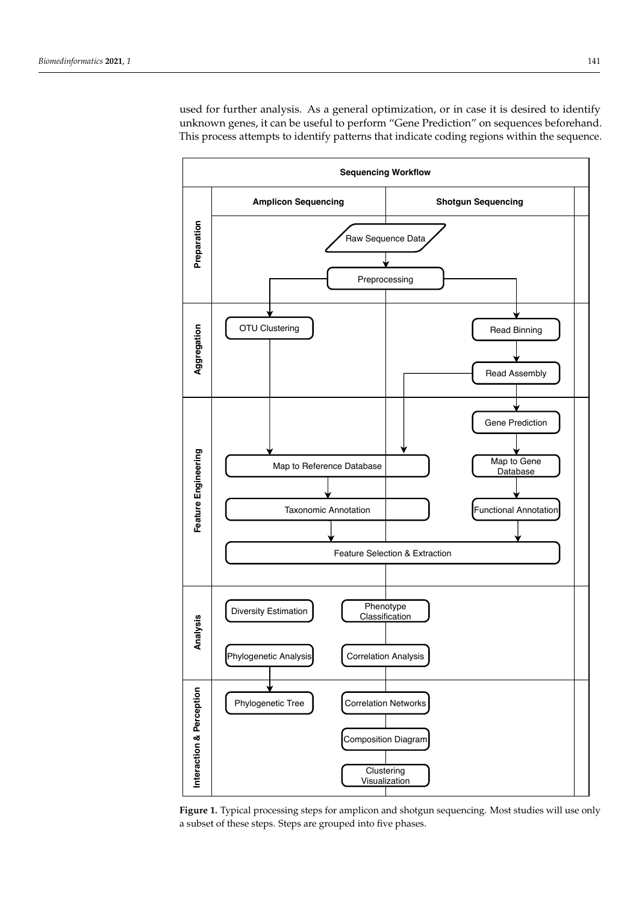used for further analysis. As a general optimization, or in case it is desired to identify unknown genes, it can be useful to perform "Gene Prediction" on sequences beforehand. This process attempts to identify patterns that indicate coding regions within the sequence.

<span id="page-3-0"></span>

**Figure 1.** Typical processing steps for amplicon and shotgun sequencing. Most studies will use only a subset of these steps. Steps are grouped into five phases.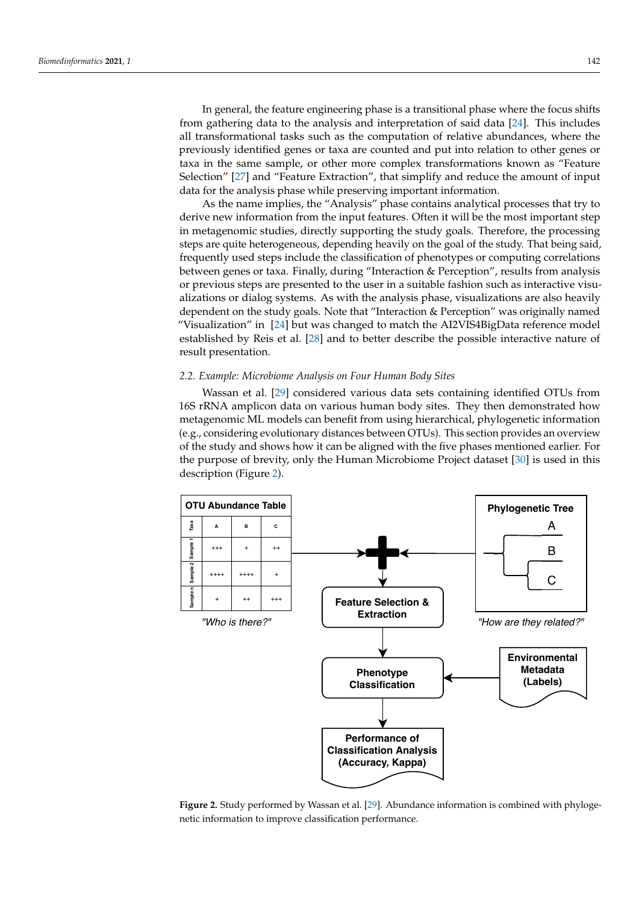In general, the feature engineering phase is a transitional phase where the focus shifts from gathering data to the analysis and interpretation of said data [\[24\]](#page-24-23). This includes all transformational tasks such as the computation of relative abundances, where the previously identified genes or taxa are counted and put into relation to other genes or taxa in the same sample, or other more complex transformations known as "Feature Selection" [\[27\]](#page-25-1) and "Feature Extraction", that simplify and reduce the amount of input data for the analysis phase while preserving important information.

As the name implies, the "Analysis" phase contains analytical processes that try to derive new information from the input features. Often it will be the most important step in metagenomic studies, directly supporting the study goals. Therefore, the processing steps are quite heterogeneous, depending heavily on the goal of the study. That being said, frequently used steps include the classification of phenotypes or computing correlations between genes or taxa. Finally, during "Interaction & Perception", results from analysis or previous steps are presented to the user in a suitable fashion such as interactive visualizations or dialog systems. As with the analysis phase, visualizations are also heavily dependent on the study goals. Note that "Interaction & Perception" was originally named "Visualization" in [\[24\]](#page-24-23) but was changed to match the AI2VIS4BigData reference model established by Reis et al. [\[28\]](#page-25-2) and to better describe the possible interactive nature of result presentation.

## <span id="page-4-1"></span>*2.2. Example: Microbiome Analysis on Four Human Body Sites*

Wassan et al. [\[29\]](#page-25-3) considered various data sets containing identified OTUs from 16S rRNA amplicon data on various human body sites. They then demonstrated how metagenomic ML models can benefit from using hierarchical, phylogenetic information (e.g., considering evolutionary distances between OTUs). This section provides an overview of the study and shows how it can be aligned with the five phases mentioned earlier. For the purpose of brevity, only the Human Microbiome Project dataset [\[30\]](#page-25-4) is used in this description (Figure [2\)](#page-4-0).

<span id="page-4-0"></span>

**Figure 2.** Study performed by Wassan et al. [\[29\]](#page-25-3). Abundance information is combined with phylogenetic information to improve classification performance.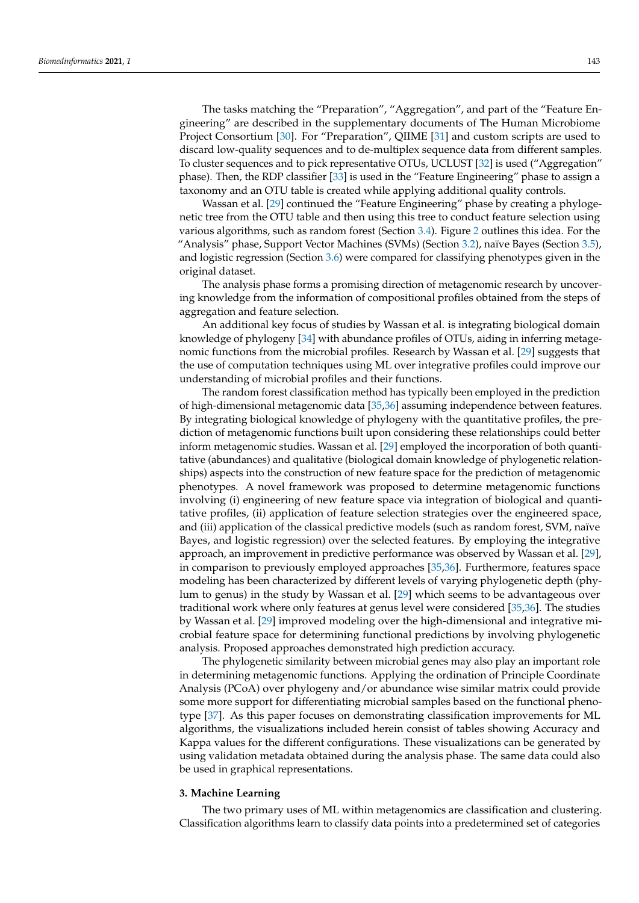The tasks matching the "Preparation", "Aggregation", and part of the "Feature Engineering" are described in the supplementary documents of The Human Microbiome Project Consortium [\[30\]](#page-25-4). For "Preparation", QIIME [\[31\]](#page-25-5) and custom scripts are used to discard low-quality sequences and to de-multiplex sequence data from different samples. To cluster sequences and to pick representative OTUs, UCLUST [\[32\]](#page-25-6) is used ("Aggregation" phase). Then, the RDP classifier [\[33\]](#page-25-7) is used in the "Feature Engineering" phase to assign a taxonomy and an OTU table is created while applying additional quality controls.

Wassan et al. [\[29\]](#page-25-3) continued the "Feature Engineering" phase by creating a phylogenetic tree from the OTU table and then using this tree to conduct feature selection using various algorithms, such as random forest (Section [3.4\)](#page-8-0). Figure [2](#page-4-0) outlines this idea. For the "Analysis" phase, Support Vector Machines (SVMs) (Section [3.2\)](#page-6-0), naïve Bayes (Section [3.5\)](#page-8-1), and logistic regression (Section [3.6\)](#page-9-0) were compared for classifying phenotypes given in the original dataset.

The analysis phase forms a promising direction of metagenomic research by uncovering knowledge from the information of compositional profiles obtained from the steps of aggregation and feature selection.

An additional key focus of studies by Wassan et al. is integrating biological domain knowledge of phylogeny [\[34\]](#page-25-8) with abundance profiles of OTUs, aiding in inferring metagenomic functions from the microbial profiles. Research by Wassan et al. [\[29\]](#page-25-3) suggests that the use of computation techniques using ML over integrative profiles could improve our understanding of microbial profiles and their functions.

The random forest classification method has typically been employed in the prediction of high-dimensional metagenomic data [\[35,](#page-25-9)[36\]](#page-25-10) assuming independence between features. By integrating biological knowledge of phylogeny with the quantitative profiles, the prediction of metagenomic functions built upon considering these relationships could better inform metagenomic studies. Wassan et al. [\[29\]](#page-25-3) employed the incorporation of both quantitative (abundances) and qualitative (biological domain knowledge of phylogenetic relationships) aspects into the construction of new feature space for the prediction of metagenomic phenotypes. A novel framework was proposed to determine metagenomic functions involving (i) engineering of new feature space via integration of biological and quantitative profiles, (ii) application of feature selection strategies over the engineered space, and (iii) application of the classical predictive models (such as random forest, SVM, naïve Bayes, and logistic regression) over the selected features. By employing the integrative approach, an improvement in predictive performance was observed by Wassan et al. [\[29\]](#page-25-3), in comparison to previously employed approaches [\[35,](#page-25-9)[36\]](#page-25-10). Furthermore, features space modeling has been characterized by different levels of varying phylogenetic depth (phylum to genus) in the study by Wassan et al. [\[29\]](#page-25-3) which seems to be advantageous over traditional work where only features at genus level were considered [\[35,](#page-25-9)[36\]](#page-25-10). The studies by Wassan et al. [\[29\]](#page-25-3) improved modeling over the high-dimensional and integrative microbial feature space for determining functional predictions by involving phylogenetic analysis. Proposed approaches demonstrated high prediction accuracy.

The phylogenetic similarity between microbial genes may also play an important role in determining metagenomic functions. Applying the ordination of Principle Coordinate Analysis (PCoA) over phylogeny and/or abundance wise similar matrix could provide some more support for differentiating microbial samples based on the functional phenotype [\[37\]](#page-25-11). As this paper focuses on demonstrating classification improvements for ML algorithms, the visualizations included herein consist of tables showing Accuracy and Kappa values for the different configurations. These visualizations can be generated by using validation metadata obtained during the analysis phase. The same data could also be used in graphical representations.

## <span id="page-5-0"></span>**3. Machine Learning**

The two primary uses of ML within metagenomics are classification and clustering. Classification algorithms learn to classify data points into a predetermined set of categories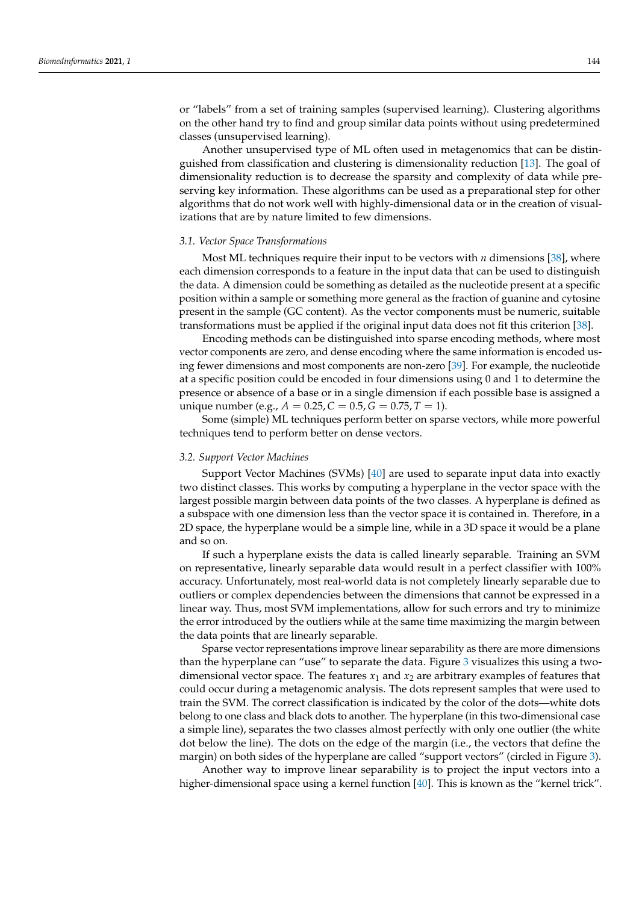or "labels" from a set of training samples (supervised learning). Clustering algorithms on the other hand try to find and group similar data points without using predetermined classes (unsupervised learning).

Another unsupervised type of ML often used in metagenomics that can be distinguished from classification and clustering is dimensionality reduction [\[13\]](#page-24-12). The goal of dimensionality reduction is to decrease the sparsity and complexity of data while preserving key information. These algorithms can be used as a preparational step for other algorithms that do not work well with highly-dimensional data or in the creation of visualizations that are by nature limited to few dimensions.

# <span id="page-6-1"></span>*3.1. Vector Space Transformations*

Most ML techniques require their input to be vectors with *n* dimensions [\[38\]](#page-25-12), where each dimension corresponds to a feature in the input data that can be used to distinguish the data. A dimension could be something as detailed as the nucleotide present at a specific position within a sample or something more general as the fraction of guanine and cytosine present in the sample (GC content). As the vector components must be numeric, suitable transformations must be applied if the original input data does not fit this criterion [\[38\]](#page-25-12).

Encoding methods can be distinguished into sparse encoding methods, where most vector components are zero, and dense encoding where the same information is encoded using fewer dimensions and most components are non-zero [\[39\]](#page-25-13). For example, the nucleotide at a specific position could be encoded in four dimensions using 0 and 1 to determine the presence or absence of a base or in a single dimension if each possible base is assigned a unique number (e.g.,  $A = 0.25$ ,  $C = 0.5$ ,  $G = 0.75$ ,  $T = 1$ ).

Some (simple) ML techniques perform better on sparse vectors, while more powerful techniques tend to perform better on dense vectors.

#### <span id="page-6-0"></span>*3.2. Support Vector Machines*

Support Vector Machines (SVMs) [\[40\]](#page-25-14) are used to separate input data into exactly two distinct classes. This works by computing a hyperplane in the vector space with the largest possible margin between data points of the two classes. A hyperplane is defined as a subspace with one dimension less than the vector space it is contained in. Therefore, in a 2D space, the hyperplane would be a simple line, while in a 3D space it would be a plane and so on.

If such a hyperplane exists the data is called linearly separable. Training an SVM on representative, linearly separable data would result in a perfect classifier with 100% accuracy. Unfortunately, most real-world data is not completely linearly separable due to outliers or complex dependencies between the dimensions that cannot be expressed in a linear way. Thus, most SVM implementations, allow for such errors and try to minimize the error introduced by the outliers while at the same time maximizing the margin between the data points that are linearly separable.

Sparse vector representations improve linear separability as there are more dimensions than the hyperplane can "use" to separate the data. Figure [3](#page-7-0) visualizes this using a twodimensional vector space. The features  $x_1$  and  $x_2$  are arbitrary examples of features that could occur during a metagenomic analysis. The dots represent samples that were used to train the SVM. The correct classification is indicated by the color of the dots—white dots belong to one class and black dots to another. The hyperplane (in this two-dimensional case a simple line), separates the two classes almost perfectly with only one outlier (the white dot below the line). The dots on the edge of the margin (i.e., the vectors that define the margin) on both sides of the hyperplane are called "support vectors" (circled in Figure [3\)](#page-7-0).

Another way to improve linear separability is to project the input vectors into a higher-dimensional space using a kernel function [\[40\]](#page-25-14). This is known as the "kernel trick".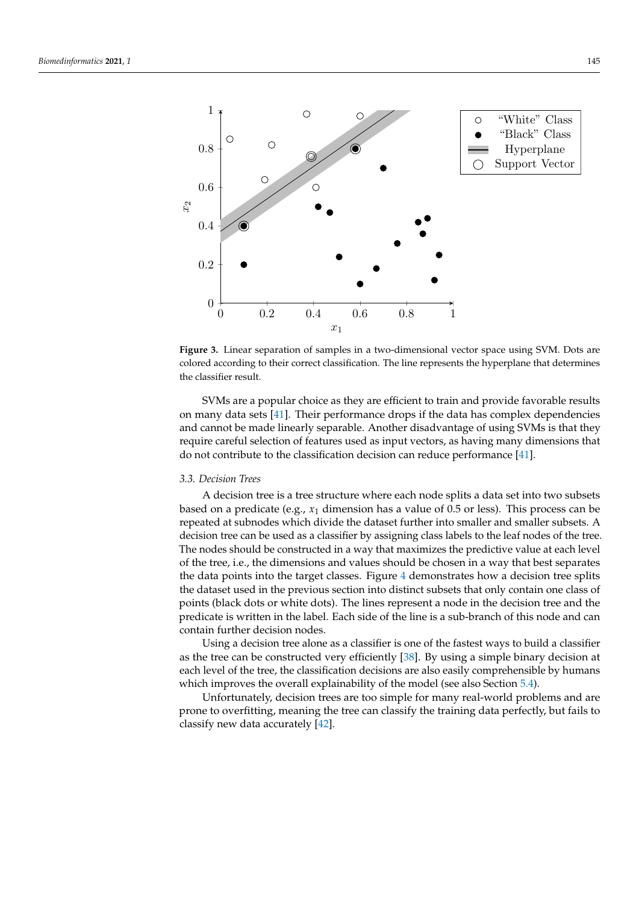<span id="page-7-0"></span>

**Figure 3.** Linear separation of samples in a two-dimensional vector space using SVM. Dots are colored according to their correct classification. The line represents the hyperplane that determines the classifier result.

SVMs are a popular choice as they are efficient to train and provide favorable results on many data sets [\[41\]](#page-25-15). Their performance drops if the data has complex dependencies and cannot be made linearly separable. Another disadvantage of using SVMs is that they require careful selection of features used as input vectors, as having many dimensions that do not contribute to the classification decision can reduce performance [\[41\]](#page-25-15).

## *3.3. Decision Trees*

A decision tree is a tree structure where each node splits a data set into two subsets based on a predicate (e.g.,  $x_1$  dimension has a value of 0.5 or less). This process can be repeated at subnodes which divide the dataset further into smaller and smaller subsets. A decision tree can be used as a classifier by assigning class labels to the leaf nodes of the tree. The nodes should be constructed in a way that maximizes the predictive value at each level of the tree, i.e., the dimensions and values should be chosen in a way that best separates the data points into the target classes. Figure [4](#page-8-2) demonstrates how a decision tree splits the dataset used in the previous section into distinct subsets that only contain one class of points (black dots or white dots). The lines represent a node in the decision tree and the predicate is written in the label. Each side of the line is a sub-branch of this node and can contain further decision nodes.

Using a decision tree alone as a classifier is one of the fastest ways to build a classifier as the tree can be constructed very efficiently [\[38\]](#page-25-12). By using a simple binary decision at each level of the tree, the classification decisions are also easily comprehensible by humans which improves the overall explainability of the model (see also Section [5.4\)](#page-17-1).

Unfortunately, decision trees are too simple for many real-world problems and are prone to overfitting, meaning the tree can classify the training data perfectly, but fails to classify new data accurately [\[42\]](#page-25-16).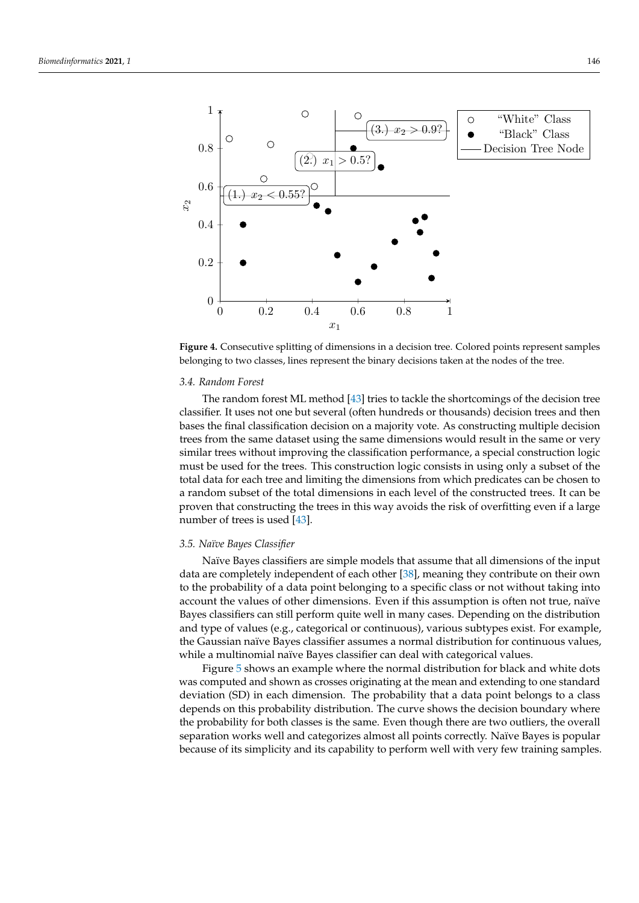<span id="page-8-2"></span>

**Figure 4.** Consecutive splitting of dimensions in a decision tree. Colored points represent samples belonging to two classes, lines represent the binary decisions taken at the nodes of the tree.

#### <span id="page-8-0"></span>*3.4. Random Forest*

The random forest ML method [\[43\]](#page-25-17) tries to tackle the shortcomings of the decision tree classifier. It uses not one but several (often hundreds or thousands) decision trees and then bases the final classification decision on a majority vote. As constructing multiple decision trees from the same dataset using the same dimensions would result in the same or very similar trees without improving the classification performance, a special construction logic must be used for the trees. This construction logic consists in using only a subset of the total data for each tree and limiting the dimensions from which predicates can be chosen to a random subset of the total dimensions in each level of the constructed trees. It can be proven that constructing the trees in this way avoids the risk of overfitting even if a large number of trees is used [\[43\]](#page-25-17).

# <span id="page-8-1"></span>*3.5. Naïve Bayes Classifier*

Naïve Bayes classifiers are simple models that assume that all dimensions of the input data are completely independent of each other [\[38\]](#page-25-12), meaning they contribute on their own to the probability of a data point belonging to a specific class or not without taking into account the values of other dimensions. Even if this assumption is often not true, naïve Bayes classifiers can still perform quite well in many cases. Depending on the distribution and type of values (e.g., categorical or continuous), various subtypes exist. For example, the Gaussian naïve Bayes classifier assumes a normal distribution for continuous values, while a multinomial naïve Bayes classifier can deal with categorical values.

Figure [5](#page-9-1) shows an example where the normal distribution for black and white dots was computed and shown as crosses originating at the mean and extending to one standard deviation (SD) in each dimension. The probability that a data point belongs to a class depends on this probability distribution. The curve shows the decision boundary where the probability for both classes is the same. Even though there are two outliers, the overall separation works well and categorizes almost all points correctly. Naïve Bayes is popular because of its simplicity and its capability to perform well with very few training samples.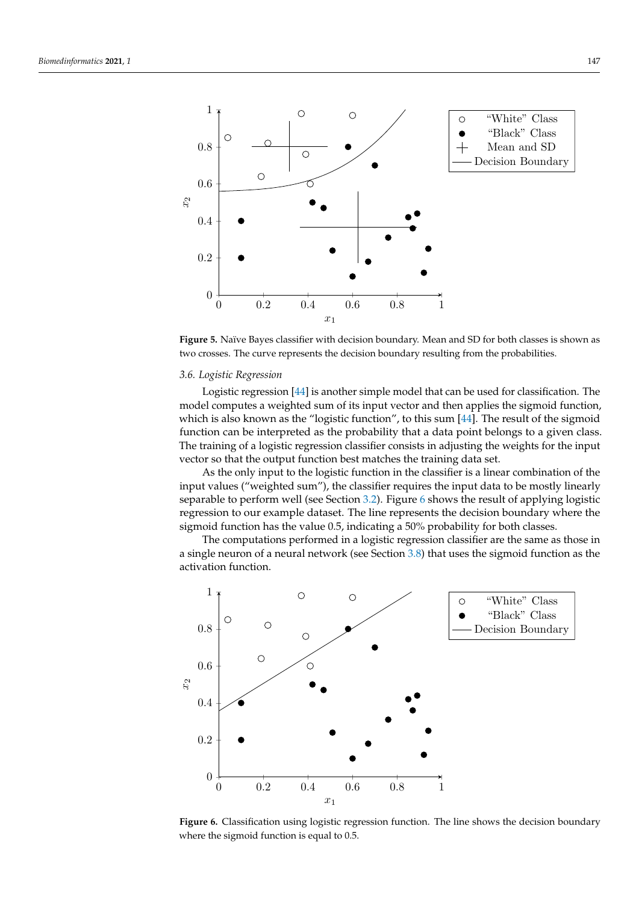<span id="page-9-1"></span>

**Figure 5.** Naïve Bayes classifier with decision boundary. Mean and SD for both classes is shown as two crosses. The curve represents the decision boundary resulting from the probabilities.

#### <span id="page-9-0"></span>*3.6. Logistic Regression*

Logistic regression [\[44\]](#page-25-18) is another simple model that can be used for classification. The model computes a weighted sum of its input vector and then applies the sigmoid function, which is also known as the "logistic function", to this sum [\[44\]](#page-25-18). The result of the sigmoid function can be interpreted as the probability that a data point belongs to a given class. The training of a logistic regression classifier consists in adjusting the weights for the input vector so that the output function best matches the training data set.

As the only input to the logistic function in the classifier is a linear combination of the input values ("weighted sum"), the classifier requires the input data to be mostly linearly separable to perform well (see Section [3.2\)](#page-6-0). Figure [6](#page-9-2) shows the result of applying logistic regression to our example dataset. The line represents the decision boundary where the sigmoid function has the value 0.5, indicating a 50% probability for both classes.

The computations performed in a logistic regression classifier are the same as those in a single neuron of a neural network (see Section [3.8\)](#page-10-0) that uses the sigmoid function as the activation function.

<span id="page-9-2"></span>

**Figure 6.** Classification using logistic regression function. The line shows the decision boundary where the sigmoid function is equal to 0.5.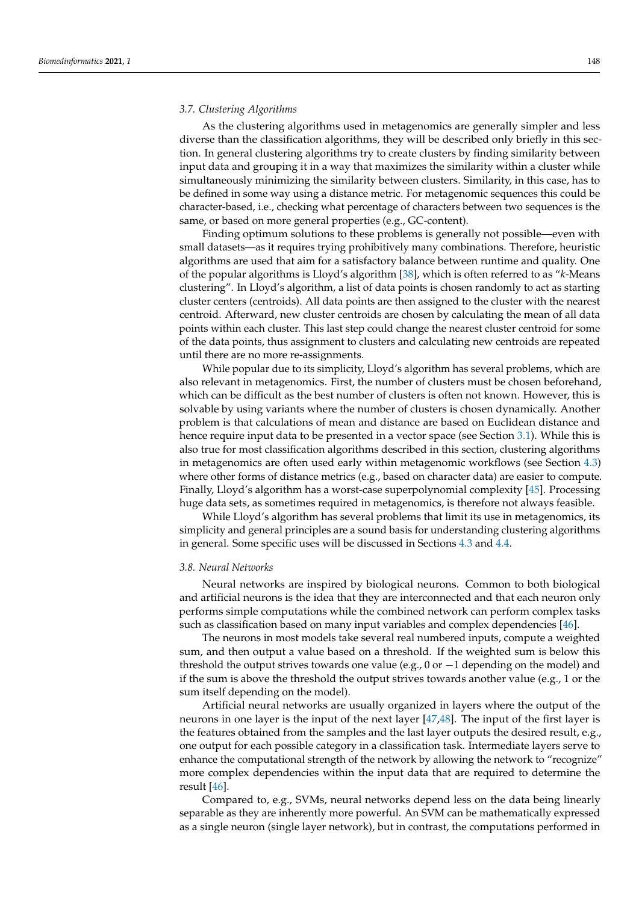## <span id="page-10-1"></span>*3.7. Clustering Algorithms*

As the clustering algorithms used in metagenomics are generally simpler and less diverse than the classification algorithms, they will be described only briefly in this section. In general clustering algorithms try to create clusters by finding similarity between input data and grouping it in a way that maximizes the similarity within a cluster while simultaneously minimizing the similarity between clusters. Similarity, in this case, has to be defined in some way using a distance metric. For metagenomic sequences this could be character-based, i.e., checking what percentage of characters between two sequences is the same, or based on more general properties (e.g., GC-content).

Finding optimum solutions to these problems is generally not possible—even with small datasets—as it requires trying prohibitively many combinations. Therefore, heuristic algorithms are used that aim for a satisfactory balance between runtime and quality. One of the popular algorithms is Lloyd's algorithm [\[38\]](#page-25-12), which is often referred to as "*k*-Means clustering". In Lloyd's algorithm, a list of data points is chosen randomly to act as starting cluster centers (centroids). All data points are then assigned to the cluster with the nearest centroid. Afterward, new cluster centroids are chosen by calculating the mean of all data points within each cluster. This last step could change the nearest cluster centroid for some of the data points, thus assignment to clusters and calculating new centroids are repeated until there are no more re-assignments.

While popular due to its simplicity, Lloyd's algorithm has several problems, which are also relevant in metagenomics. First, the number of clusters must be chosen beforehand, which can be difficult as the best number of clusters is often not known. However, this is solvable by using variants where the number of clusters is chosen dynamically. Another problem is that calculations of mean and distance are based on Euclidean distance and hence require input data to be presented in a vector space (see Section [3.1\)](#page-6-1). While this is also true for most classification algorithms described in this section, clustering algorithms in metagenomics are often used early within metagenomic workflows (see Section [4.3\)](#page-13-0) where other forms of distance metrics (e.g., based on character data) are easier to compute. Finally, Lloyd's algorithm has a worst-case superpolynomial complexity [\[45\]](#page-25-19). Processing huge data sets, as sometimes required in metagenomics, is therefore not always feasible.

While Lloyd's algorithm has several problems that limit its use in metagenomics, its simplicity and general principles are a sound basis for understanding clustering algorithms in general. Some specific uses will be discussed in Sections [4.3](#page-13-0) and [4.4.](#page-13-1)

#### <span id="page-10-0"></span>*3.8. Neural Networks*

Neural networks are inspired by biological neurons. Common to both biological and artificial neurons is the idea that they are interconnected and that each neuron only performs simple computations while the combined network can perform complex tasks such as classification based on many input variables and complex dependencies [\[46\]](#page-25-20).

The neurons in most models take several real numbered inputs, compute a weighted sum, and then output a value based on a threshold. If the weighted sum is below this threshold the output strives towards one value (e.g., 0 or  $-1$  depending on the model) and if the sum is above the threshold the output strives towards another value (e.g., 1 or the sum itself depending on the model).

Artificial neural networks are usually organized in layers where the output of the neurons in one layer is the input of the next layer [\[47](#page-25-21)[,48\]](#page-25-22). The input of the first layer is the features obtained from the samples and the last layer outputs the desired result, e.g., one output for each possible category in a classification task. Intermediate layers serve to enhance the computational strength of the network by allowing the network to "recognize" more complex dependencies within the input data that are required to determine the result [\[46\]](#page-25-20).

Compared to, e.g., SVMs, neural networks depend less on the data being linearly separable as they are inherently more powerful. An SVM can be mathematically expressed as a single neuron (single layer network), but in contrast, the computations performed in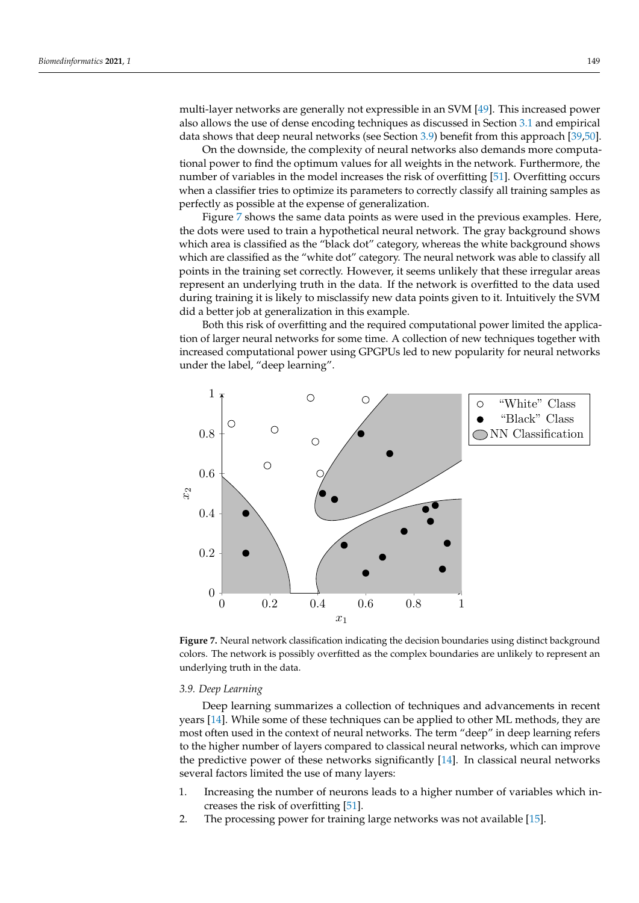multi-layer networks are generally not expressible in an SVM [\[49\]](#page-25-23). This increased power also allows the use of dense encoding techniques as discussed in Section [3.1](#page-6-1) and empirical data shows that deep neural networks (see Section [3.9\)](#page-11-0) benefit from this approach [\[39](#page-25-13)[,50\]](#page-25-24).

On the downside, the complexity of neural networks also demands more computational power to find the optimum values for all weights in the network. Furthermore, the number of variables in the model increases the risk of overfitting [\[51\]](#page-25-25). Overfitting occurs when a classifier tries to optimize its parameters to correctly classify all training samples as perfectly as possible at the expense of generalization.

Figure [7](#page-11-1) shows the same data points as were used in the previous examples. Here, the dots were used to train a hypothetical neural network. The gray background shows which area is classified as the "black dot" category, whereas the white background shows which are classified as the "white dot" category. The neural network was able to classify all points in the training set correctly. However, it seems unlikely that these irregular areas represent an underlying truth in the data. If the network is overfitted to the data used during training it is likely to misclassify new data points given to it. Intuitively the SVM did a better job at generalization in this example.

Both this risk of overfitting and the required computational power limited the application of larger neural networks for some time. A collection of new techniques together with increased computational power using GPGPUs led to new popularity for neural networks under the label, "deep learning".

<span id="page-11-1"></span>

**Figure 7.** Neural network classification indicating the decision boundaries using distinct background colors. The network is possibly overfitted as the complex boundaries are unlikely to represent an underlying truth in the data.

# <span id="page-11-0"></span>*3.9. Deep Learning*

Deep learning summarizes a collection of techniques and advancements in recent years [\[14\]](#page-24-13). While some of these techniques can be applied to other ML methods, they are most often used in the context of neural networks. The term "deep" in deep learning refers to the higher number of layers compared to classical neural networks, which can improve the predictive power of these networks significantly [\[14\]](#page-24-13). In classical neural networks several factors limited the use of many layers:

- 1. Increasing the number of neurons leads to a higher number of variables which increases the risk of overfitting [\[51\]](#page-25-25).
- 2. The processing power for training large networks was not available [\[15\]](#page-24-14).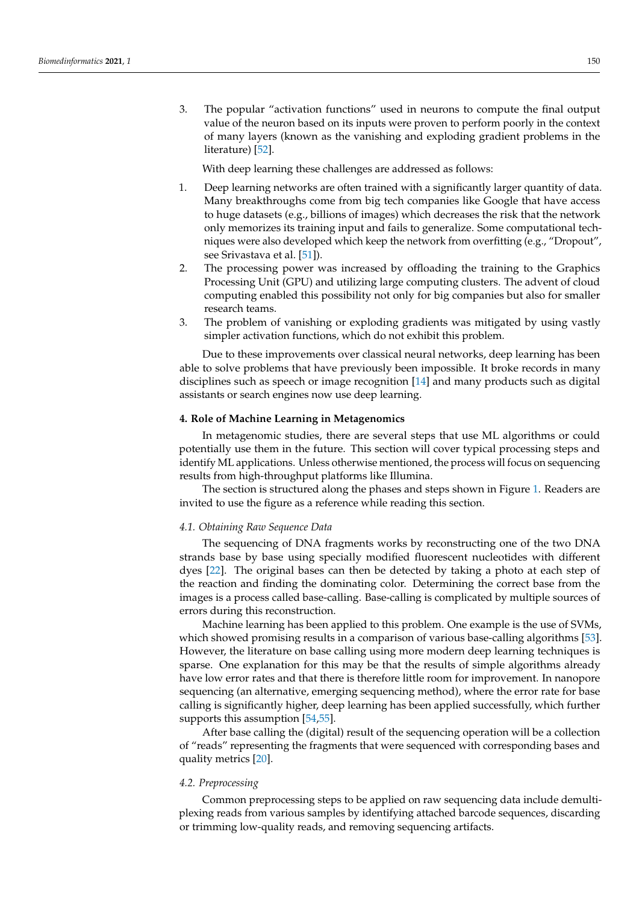3. The popular "activation functions" used in neurons to compute the final output value of the neuron based on its inputs were proven to perform poorly in the context of many layers (known as the vanishing and exploding gradient problems in the literature) [\[52\]](#page-25-26).

With deep learning these challenges are addressed as follows:

- 1. Deep learning networks are often trained with a significantly larger quantity of data. Many breakthroughs come from big tech companies like Google that have access to huge datasets (e.g., billions of images) which decreases the risk that the network only memorizes its training input and fails to generalize. Some computational techniques were also developed which keep the network from overfitting (e.g., "Dropout", see Srivastava et al. [\[51\]](#page-25-25)).
- 2. The processing power was increased by offloading the training to the Graphics Processing Unit (GPU) and utilizing large computing clusters. The advent of cloud computing enabled this possibility not only for big companies but also for smaller research teams.
- 3. The problem of vanishing or exploding gradients was mitigated by using vastly simpler activation functions, which do not exhibit this problem.

Due to these improvements over classical neural networks, deep learning has been able to solve problems that have previously been impossible. It broke records in many disciplines such as speech or image recognition [\[14\]](#page-24-13) and many products such as digital assistants or search engines now use deep learning.

# **4. Role of Machine Learning in Metagenomics**

In metagenomic studies, there are several steps that use ML algorithms or could potentially use them in the future. This section will cover typical processing steps and identify ML applications. Unless otherwise mentioned, the process will focus on sequencing results from high-throughput platforms like Illumina.

The section is structured along the phases and steps shown in Figure [1.](#page-3-0) Readers are invited to use the figure as a reference while reading this section.

## *4.1. Obtaining Raw Sequence Data*

The sequencing of DNA fragments works by reconstructing one of the two DNA strands base by base using specially modified fluorescent nucleotides with different dyes [\[22\]](#page-24-21). The original bases can then be detected by taking a photo at each step of the reaction and finding the dominating color. Determining the correct base from the images is a process called base-calling. Base-calling is complicated by multiple sources of errors during this reconstruction.

Machine learning has been applied to this problem. One example is the use of SVMs, which showed promising results in a comparison of various base-calling algorithms [\[53\]](#page-25-27). However, the literature on base calling using more modern deep learning techniques is sparse. One explanation for this may be that the results of simple algorithms already have low error rates and that there is therefore little room for improvement. In nanopore sequencing (an alternative, emerging sequencing method), where the error rate for base calling is significantly higher, deep learning has been applied successfully, which further supports this assumption [\[54](#page-25-28)[,55\]](#page-25-29).

After base calling the (digital) result of the sequencing operation will be a collection of "reads" representing the fragments that were sequenced with corresponding bases and quality metrics [\[20\]](#page-24-19).

# *4.2. Preprocessing*

Common preprocessing steps to be applied on raw sequencing data include demultiplexing reads from various samples by identifying attached barcode sequences, discarding or trimming low-quality reads, and removing sequencing artifacts.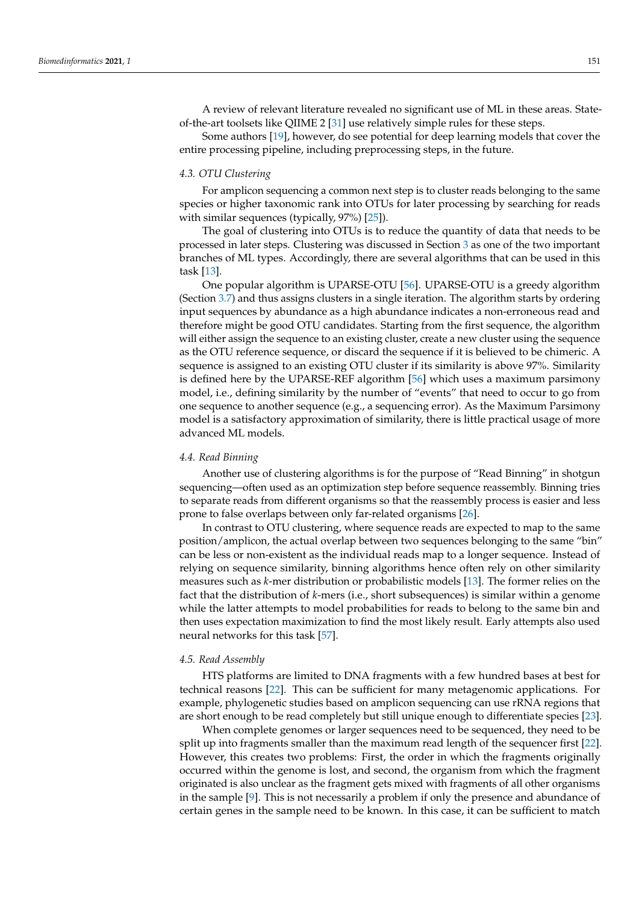A review of relevant literature revealed no significant use of ML in these areas. Stateof-the-art toolsets like QIIME 2 [\[31\]](#page-25-5) use relatively simple rules for these steps.

Some authors [\[19\]](#page-24-18), however, do see potential for deep learning models that cover the entire processing pipeline, including preprocessing steps, in the future.

## <span id="page-13-0"></span>*4.3. OTU Clustering*

For amplicon sequencing a common next step is to cluster reads belonging to the same species or higher taxonomic rank into OTUs for later processing by searching for reads with similar sequences (typically, 97%) [\[25\]](#page-24-24)).

The goal of clustering into OTUs is to reduce the quantity of data that needs to be processed in later steps. Clustering was discussed in Section [3](#page-5-0) as one of the two important branches of ML types. Accordingly, there are several algorithms that can be used in this task [\[13\]](#page-24-12).

One popular algorithm is UPARSE-OTU [\[56\]](#page-25-30). UPARSE-OTU is a greedy algorithm (Section [3.7\)](#page-10-1) and thus assigns clusters in a single iteration. The algorithm starts by ordering input sequences by abundance as a high abundance indicates a non-erroneous read and therefore might be good OTU candidates. Starting from the first sequence, the algorithm will either assign the sequence to an existing cluster, create a new cluster using the sequence as the OTU reference sequence, or discard the sequence if it is believed to be chimeric. A sequence is assigned to an existing OTU cluster if its similarity is above 97%. Similarity is defined here by the UPARSE-REF algorithm [\[56\]](#page-25-30) which uses a maximum parsimony model, i.e., defining similarity by the number of "events" that need to occur to go from one sequence to another sequence (e.g., a sequencing error). As the Maximum Parsimony model is a satisfactory approximation of similarity, there is little practical usage of more advanced ML models.

#### <span id="page-13-1"></span>*4.4. Read Binning*

Another use of clustering algorithms is for the purpose of "Read Binning" in shotgun sequencing—often used as an optimization step before sequence reassembly. Binning tries to separate reads from different organisms so that the reassembly process is easier and less prone to false overlaps between only far-related organisms [\[26\]](#page-25-0).

In contrast to OTU clustering, where sequence reads are expected to map to the same position/amplicon, the actual overlap between two sequences belonging to the same "bin" can be less or non-existent as the individual reads map to a longer sequence. Instead of relying on sequence similarity, binning algorithms hence often rely on other similarity measures such as *k*-mer distribution or probabilistic models [\[13\]](#page-24-12). The former relies on the fact that the distribution of *k*-mers (i.e., short subsequences) is similar within a genome while the latter attempts to model probabilities for reads to belong to the same bin and then uses expectation maximization to find the most likely result. Early attempts also used neural networks for this task [\[57\]](#page-25-31).

#### *4.5. Read Assembly*

HTS platforms are limited to DNA fragments with a few hundred bases at best for technical reasons [\[22\]](#page-24-21). This can be sufficient for many metagenomic applications. For example, phylogenetic studies based on amplicon sequencing can use rRNA regions that are short enough to be read completely but still unique enough to differentiate species [\[23\]](#page-24-22).

When complete genomes or larger sequences need to be sequenced, they need to be split up into fragments smaller than the maximum read length of the sequencer first [\[22\]](#page-24-21). However, this creates two problems: First, the order in which the fragments originally occurred within the genome is lost, and second, the organism from which the fragment originated is also unclear as the fragment gets mixed with fragments of all other organisms in the sample [\[9\]](#page-24-8). This is not necessarily a problem if only the presence and abundance of certain genes in the sample need to be known. In this case, it can be sufficient to match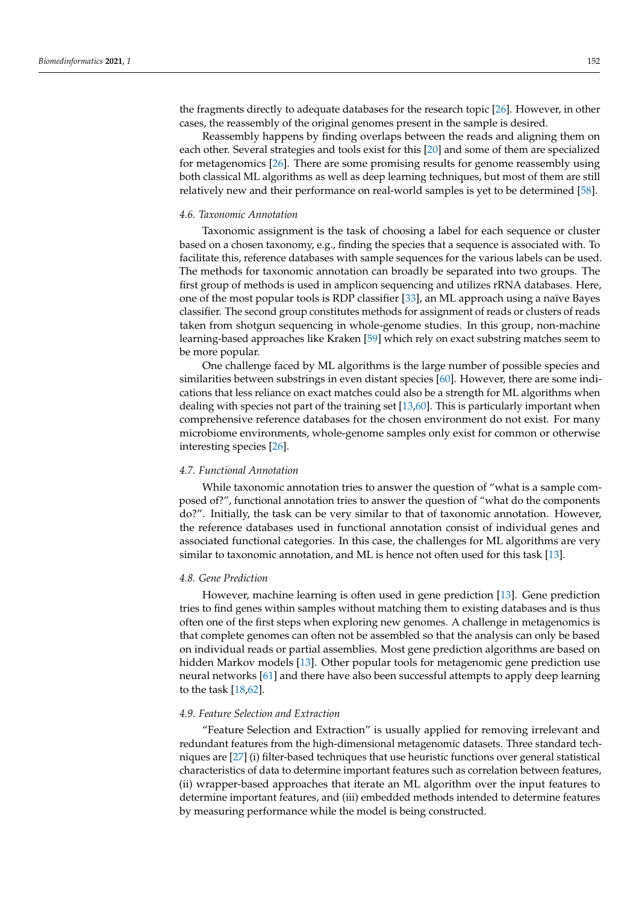the fragments directly to adequate databases for the research topic [\[26\]](#page-25-0). However, in other cases, the reassembly of the original genomes present in the sample is desired.

Reassembly happens by finding overlaps between the reads and aligning them on each other. Several strategies and tools exist for this [\[20\]](#page-24-19) and some of them are specialized for metagenomics [\[26\]](#page-25-0). There are some promising results for genome reassembly using both classical ML algorithms as well as deep learning techniques, but most of them are still relatively new and their performance on real-world samples is yet to be determined [\[58\]](#page-25-32).

#### <span id="page-14-0"></span>*4.6. Taxonomic Annotation*

Taxonomic assignment is the task of choosing a label for each sequence or cluster based on a chosen taxonomy, e.g., finding the species that a sequence is associated with. To facilitate this, reference databases with sample sequences for the various labels can be used. The methods for taxonomic annotation can broadly be separated into two groups. The first group of methods is used in amplicon sequencing and utilizes rRNA databases. Here, one of the most popular tools is RDP classifier [\[33\]](#page-25-7), an ML approach using a naïve Bayes classifier. The second group constitutes methods for assignment of reads or clusters of reads taken from shotgun sequencing in whole-genome studies. In this group, non-machine learning-based approaches like Kraken [\[59\]](#page-26-0) which rely on exact substring matches seem to be more popular.

One challenge faced by ML algorithms is the large number of possible species and similarities between substrings in even distant species [\[60\]](#page-26-1). However, there are some indications that less reliance on exact matches could also be a strength for ML algorithms when dealing with species not part of the training set [\[13](#page-24-12)[,60\]](#page-26-1). This is particularly important when comprehensive reference databases for the chosen environment do not exist. For many microbiome environments, whole-genome samples only exist for common or otherwise interesting species [\[26\]](#page-25-0).

#### *4.7. Functional Annotation*

While taxonomic annotation tries to answer the question of "what is a sample composed of?", functional annotation tries to answer the question of "what do the components do?". Initially, the task can be very similar to that of taxonomic annotation. However, the reference databases used in functional annotation consist of individual genes and associated functional categories. In this case, the challenges for ML algorithms are very similar to taxonomic annotation, and ML is hence not often used for this task [\[13\]](#page-24-12).

## *4.8. Gene Prediction*

However, machine learning is often used in gene prediction [\[13\]](#page-24-12). Gene prediction tries to find genes within samples without matching them to existing databases and is thus often one of the first steps when exploring new genomes. A challenge in metagenomics is that complete genomes can often not be assembled so that the analysis can only be based on individual reads or partial assemblies. Most gene prediction algorithms are based on hidden Markov models [\[13\]](#page-24-12). Other popular tools for metagenomic gene prediction use neural networks [\[61\]](#page-26-2) and there have also been successful attempts to apply deep learning to the task [\[18,](#page-24-17)[62\]](#page-26-3).

# *4.9. Feature Selection and Extraction*

"Feature Selection and Extraction" is usually applied for removing irrelevant and redundant features from the high-dimensional metagenomic datasets. Three standard techniques are [\[27\]](#page-25-1) (i) filter-based techniques that use heuristic functions over general statistical characteristics of data to determine important features such as correlation between features, (ii) wrapper-based approaches that iterate an ML algorithm over the input features to determine important features, and (iii) embedded methods intended to determine features by measuring performance while the model is being constructed.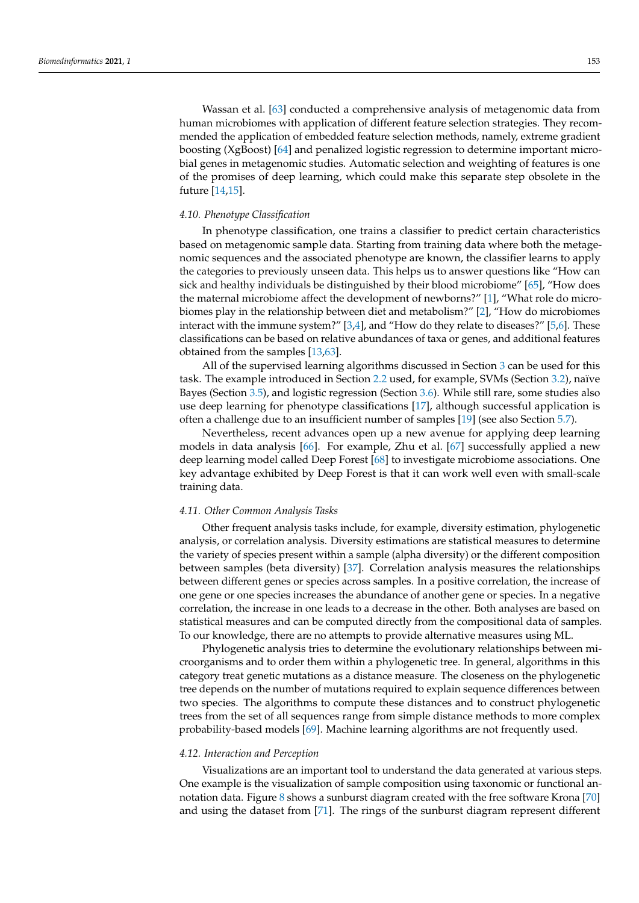Wassan et al. [\[63\]](#page-26-4) conducted a comprehensive analysis of metagenomic data from human microbiomes with application of different feature selection strategies. They recommended the application of embedded feature selection methods, namely, extreme gradient boosting (XgBoost) [\[64\]](#page-26-5) and penalized logistic regression to determine important microbial genes in metagenomic studies. Automatic selection and weighting of features is one of the promises of deep learning, which could make this separate step obsolete in the future [\[14,](#page-24-13)[15\]](#page-24-14).

#### *4.10. Phenotype Classification*

In phenotype classification, one trains a classifier to predict certain characteristics based on metagenomic sample data. Starting from training data where both the metagenomic sequences and the associated phenotype are known, the classifier learns to apply the categories to previously unseen data. This helps us to answer questions like "How can sick and healthy individuals be distinguished by their blood microbiome" [\[65\]](#page-26-6), "How does the maternal microbiome affect the development of newborns?" [\[1\]](#page-24-0), "What role do microbiomes play in the relationship between diet and metabolism?" [\[2\]](#page-24-1), "How do microbiomes interact with the immune system?" [\[3](#page-24-2)[,4\]](#page-24-3), and "How do they relate to diseases?" [\[5](#page-24-4)[,6\]](#page-24-5). These classifications can be based on relative abundances of taxa or genes, and additional features obtained from the samples [\[13](#page-24-12)[,63\]](#page-26-4).

All of the supervised learning algorithms discussed in Section [3](#page-5-0) can be used for this task. The example introduced in Section [2.2](#page-4-1) used, for example, SVMs (Section [3.2\)](#page-6-0), naïve Bayes (Section [3.5\)](#page-8-1), and logistic regression (Section [3.6\)](#page-9-0). While still rare, some studies also use deep learning for phenotype classifications [\[17\]](#page-24-16), although successful application is often a challenge due to an insufficient number of samples [\[19\]](#page-24-18) (see also Section [5.7\)](#page-18-0).

Nevertheless, recent advances open up a new avenue for applying deep learning models in data analysis [\[66\]](#page-26-7). For example, Zhu et al. [\[67\]](#page-26-8) successfully applied a new deep learning model called Deep Forest [\[68\]](#page-26-9) to investigate microbiome associations. One key advantage exhibited by Deep Forest is that it can work well even with small-scale training data.

# *4.11. Other Common Analysis Tasks*

Other frequent analysis tasks include, for example, diversity estimation, phylogenetic analysis, or correlation analysis. Diversity estimations are statistical measures to determine the variety of species present within a sample (alpha diversity) or the different composition between samples (beta diversity) [\[37\]](#page-25-11). Correlation analysis measures the relationships between different genes or species across samples. In a positive correlation, the increase of one gene or one species increases the abundance of another gene or species. In a negative correlation, the increase in one leads to a decrease in the other. Both analyses are based on statistical measures and can be computed directly from the compositional data of samples. To our knowledge, there are no attempts to provide alternative measures using ML.

Phylogenetic analysis tries to determine the evolutionary relationships between microorganisms and to order them within a phylogenetic tree. In general, algorithms in this category treat genetic mutations as a distance measure. The closeness on the phylogenetic tree depends on the number of mutations required to explain sequence differences between two species. The algorithms to compute these distances and to construct phylogenetic trees from the set of all sequences range from simple distance methods to more complex probability-based models [\[69\]](#page-26-10). Machine learning algorithms are not frequently used.

#### *4.12. Interaction and Perception*

Visualizations are an important tool to understand the data generated at various steps. One example is the visualization of sample composition using taxonomic or functional annotation data. Figure [8](#page-16-0) shows a sunburst diagram created with the free software Krona [\[70\]](#page-26-11) and using the dataset from [\[71\]](#page-26-12). The rings of the sunburst diagram represent different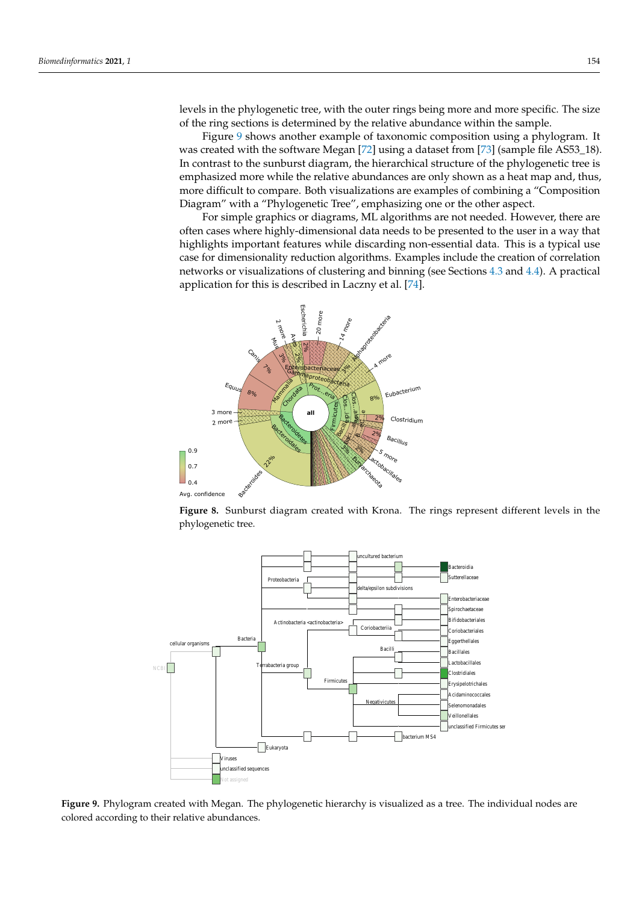levels in the phylogenetic tree, with the outer rings being more and more specific. The size of the ring sections is determined by the relative abundance within the sample.

Figure [9](#page-16-1) shows another example of taxonomic composition using a phylogram. It was created with the software Megan [\[72\]](#page-26-13) using a dataset from [\[73\]](#page-26-14) (sample file AS53\_18). In contrast to the sunburst diagram, the hierarchical structure of the phylogenetic tree is emphasized more while the relative abundances are only shown as a heat map and, thus, more difficult to compare. Both visualizations are examples of combining a "Composition Diagram" with a "Phylogenetic Tree", emphasizing one or the other aspect.

For simple graphics or diagrams, ML algorithms are not needed. However, there are often cases where highly-dimensional data needs to be presented to the user in a way that highlights important features while discarding non-essential data. This is a typical use case for dimensionality reduction algorithms. Examples include the creation of correlation networks or visualizations of clustering and binning (see Sections [4.3](#page-13-0) and [4.4\)](#page-13-1). A practical application for this is described in Laczny et al. [\[74\]](#page-26-15).

<span id="page-16-0"></span>

**Figure 8.** Sunburst diagram created with Krona. The rings represent different levels in the phylogenetic tree.

<span id="page-16-1"></span>

**Figure 9.** Phylogram created with Megan. The phylogenetic hierarchy is visualized as a tree. The individual nodes are colored according to their relative abundances.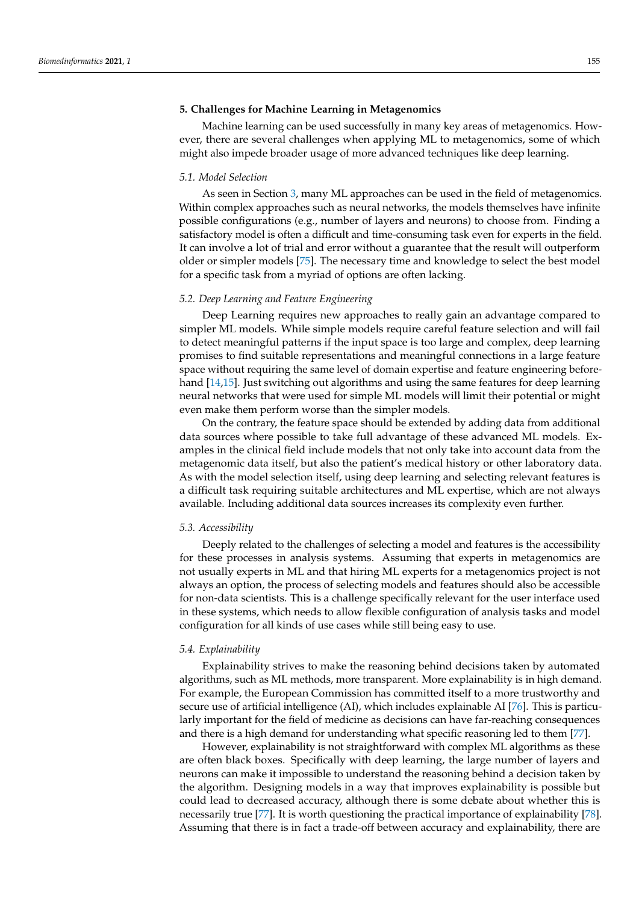# <span id="page-17-0"></span>**5. Challenges for Machine Learning in Metagenomics**

Machine learning can be used successfully in many key areas of metagenomics. However, there are several challenges when applying ML to metagenomics, some of which might also impede broader usage of more advanced techniques like deep learning.

## *5.1. Model Selection*

As seen in Section [3,](#page-5-0) many ML approaches can be used in the field of metagenomics. Within complex approaches such as neural networks, the models themselves have infinite possible configurations (e.g., number of layers and neurons) to choose from. Finding a satisfactory model is often a difficult and time-consuming task even for experts in the field. It can involve a lot of trial and error without a guarantee that the result will outperform older or simpler models [\[75\]](#page-26-16). The necessary time and knowledge to select the best model for a specific task from a myriad of options are often lacking.

## *5.2. Deep Learning and Feature Engineering*

Deep Learning requires new approaches to really gain an advantage compared to simpler ML models. While simple models require careful feature selection and will fail to detect meaningful patterns if the input space is too large and complex, deep learning promises to find suitable representations and meaningful connections in a large feature space without requiring the same level of domain expertise and feature engineering beforehand [\[14,](#page-24-13)[15\]](#page-24-14). Just switching out algorithms and using the same features for deep learning neural networks that were used for simple ML models will limit their potential or might even make them perform worse than the simpler models.

On the contrary, the feature space should be extended by adding data from additional data sources where possible to take full advantage of these advanced ML models. Examples in the clinical field include models that not only take into account data from the metagenomic data itself, but also the patient's medical history or other laboratory data. As with the model selection itself, using deep learning and selecting relevant features is a difficult task requiring suitable architectures and ML expertise, which are not always available. Including additional data sources increases its complexity even further.

#### *5.3. Accessibility*

Deeply related to the challenges of selecting a model and features is the accessibility for these processes in analysis systems. Assuming that experts in metagenomics are not usually experts in ML and that hiring ML experts for a metagenomics project is not always an option, the process of selecting models and features should also be accessible for non-data scientists. This is a challenge specifically relevant for the user interface used in these systems, which needs to allow flexible configuration of analysis tasks and model configuration for all kinds of use cases while still being easy to use.

#### <span id="page-17-1"></span>*5.4. Explainability*

Explainability strives to make the reasoning behind decisions taken by automated algorithms, such as ML methods, more transparent. More explainability is in high demand. For example, the European Commission has committed itself to a more trustworthy and secure use of artificial intelligence (AI), which includes explainable AI [\[76\]](#page-26-17). This is particularly important for the field of medicine as decisions can have far-reaching consequences and there is a high demand for understanding what specific reasoning led to them [\[77\]](#page-26-18).

However, explainability is not straightforward with complex ML algorithms as these are often black boxes. Specifically with deep learning, the large number of layers and neurons can make it impossible to understand the reasoning behind a decision taken by the algorithm. Designing models in a way that improves explainability is possible but could lead to decreased accuracy, although there is some debate about whether this is necessarily true [\[77\]](#page-26-18). It is worth questioning the practical importance of explainability [\[78\]](#page-26-19). Assuming that there is in fact a trade-off between accuracy and explainability, there are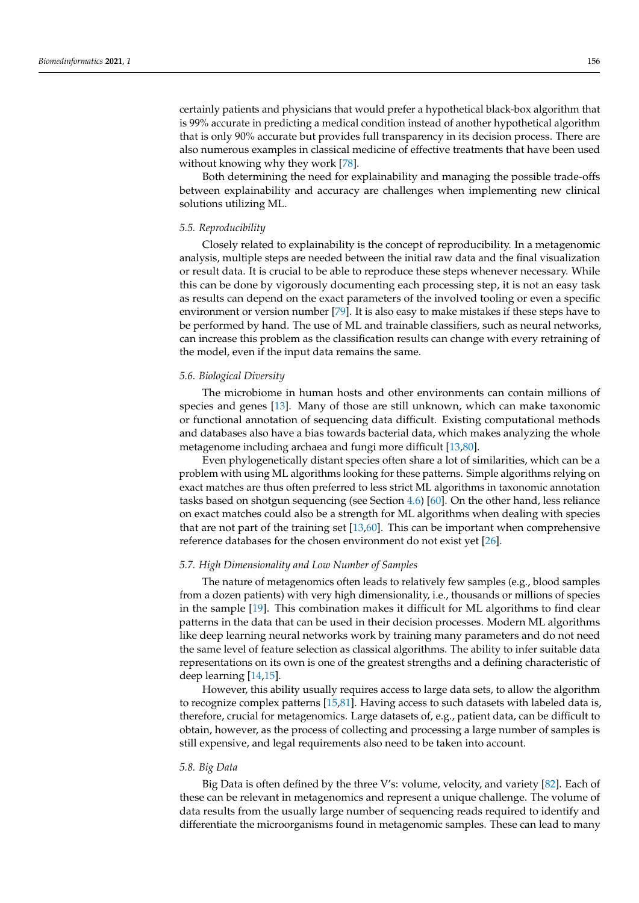certainly patients and physicians that would prefer a hypothetical black-box algorithm that is 99% accurate in predicting a medical condition instead of another hypothetical algorithm that is only 90% accurate but provides full transparency in its decision process. There are also numerous examples in classical medicine of effective treatments that have been used without knowing why they work [\[78\]](#page-26-19).

Both determining the need for explainability and managing the possible trade-offs between explainability and accuracy are challenges when implementing new clinical solutions utilizing ML.

## *5.5. Reproducibility*

Closely related to explainability is the concept of reproducibility. In a metagenomic analysis, multiple steps are needed between the initial raw data and the final visualization or result data. It is crucial to be able to reproduce these steps whenever necessary. While this can be done by vigorously documenting each processing step, it is not an easy task as results can depend on the exact parameters of the involved tooling or even a specific environment or version number [\[79\]](#page-26-20). It is also easy to make mistakes if these steps have to be performed by hand. The use of ML and trainable classifiers, such as neural networks, can increase this problem as the classification results can change with every retraining of the model, even if the input data remains the same.

## *5.6. Biological Diversity*

The microbiome in human hosts and other environments can contain millions of species and genes [\[13\]](#page-24-12). Many of those are still unknown, which can make taxonomic or functional annotation of sequencing data difficult. Existing computational methods and databases also have a bias towards bacterial data, which makes analyzing the whole metagenome including archaea and fungi more difficult [\[13](#page-24-12)[,80\]](#page-26-21).

Even phylogenetically distant species often share a lot of similarities, which can be a problem with using ML algorithms looking for these patterns. Simple algorithms relying on exact matches are thus often preferred to less strict ML algorithms in taxonomic annotation tasks based on shotgun sequencing (see Section [4.6\)](#page-14-0) [\[60\]](#page-26-1). On the other hand, less reliance on exact matches could also be a strength for ML algorithms when dealing with species that are not part of the training set [\[13](#page-24-12)[,60\]](#page-26-1). This can be important when comprehensive reference databases for the chosen environment do not exist yet [\[26\]](#page-25-0).

#### <span id="page-18-0"></span>*5.7. High Dimensionality and Low Number of Samples*

The nature of metagenomics often leads to relatively few samples (e.g., blood samples from a dozen patients) with very high dimensionality, i.e., thousands or millions of species in the sample [\[19\]](#page-24-18). This combination makes it difficult for ML algorithms to find clear patterns in the data that can be used in their decision processes. Modern ML algorithms like deep learning neural networks work by training many parameters and do not need the same level of feature selection as classical algorithms. The ability to infer suitable data representations on its own is one of the greatest strengths and a defining characteristic of deep learning [\[14](#page-24-13)[,15\]](#page-24-14).

However, this ability usually requires access to large data sets, to allow the algorithm to recognize complex patterns [\[15](#page-24-14)[,81\]](#page-26-22). Having access to such datasets with labeled data is, therefore, crucial for metagenomics. Large datasets of, e.g., patient data, can be difficult to obtain, however, as the process of collecting and processing a large number of samples is still expensive, and legal requirements also need to be taken into account.

# *5.8. Big Data*

Big Data is often defined by the three V's: volume, velocity, and variety [\[82\]](#page-26-23). Each of these can be relevant in metagenomics and represent a unique challenge. The volume of data results from the usually large number of sequencing reads required to identify and differentiate the microorganisms found in metagenomic samples. These can lead to many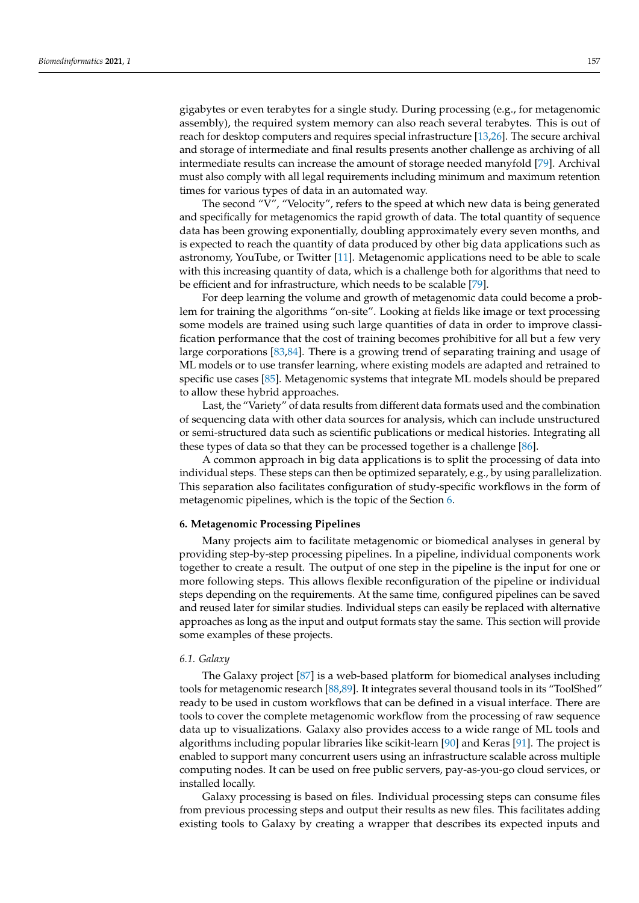gigabytes or even terabytes for a single study. During processing (e.g., for metagenomic assembly), the required system memory can also reach several terabytes. This is out of reach for desktop computers and requires special infrastructure [\[13,](#page-24-12)[26\]](#page-25-0). The secure archival and storage of intermediate and final results presents another challenge as archiving of all intermediate results can increase the amount of storage needed manyfold [\[79\]](#page-26-20). Archival must also comply with all legal requirements including minimum and maximum retention times for various types of data in an automated way.

The second "V", "Velocity", refers to the speed at which new data is being generated and specifically for metagenomics the rapid growth of data. The total quantity of sequence data has been growing exponentially, doubling approximately every seven months, and is expected to reach the quantity of data produced by other big data applications such as astronomy, YouTube, or Twitter [\[11\]](#page-24-10). Metagenomic applications need to be able to scale with this increasing quantity of data, which is a challenge both for algorithms that need to be efficient and for infrastructure, which needs to be scalable [\[79\]](#page-26-20).

For deep learning the volume and growth of metagenomic data could become a problem for training the algorithms "on-site". Looking at fields like image or text processing some models are trained using such large quantities of data in order to improve classification performance that the cost of training becomes prohibitive for all but a few very large corporations [\[83](#page-26-24)[,84\]](#page-26-25). There is a growing trend of separating training and usage of ML models or to use transfer learning, where existing models are adapted and retrained to specific use cases [\[85\]](#page-26-26). Metagenomic systems that integrate ML models should be prepared to allow these hybrid approaches.

Last, the "Variety" of data results from different data formats used and the combination of sequencing data with other data sources for analysis, which can include unstructured or semi-structured data such as scientific publications or medical histories. Integrating all these types of data so that they can be processed together is a challenge [\[86\]](#page-26-27).

A common approach in big data applications is to split the processing of data into individual steps. These steps can then be optimized separately, e.g., by using parallelization. This separation also facilitates configuration of study-specific workflows in the form of metagenomic pipelines, which is the topic of the Section [6.](#page-19-0)

# <span id="page-19-0"></span>**6. Metagenomic Processing Pipelines**

Many projects aim to facilitate metagenomic or biomedical analyses in general by providing step-by-step processing pipelines. In a pipeline, individual components work together to create a result. The output of one step in the pipeline is the input for one or more following steps. This allows flexible reconfiguration of the pipeline or individual steps depending on the requirements. At the same time, configured pipelines can be saved and reused later for similar studies. Individual steps can easily be replaced with alternative approaches as long as the input and output formats stay the same. This section will provide some examples of these projects.

# *6.1. Galaxy*

The Galaxy project [\[87\]](#page-26-28) is a web-based platform for biomedical analyses including tools for metagenomic research [\[88,](#page-27-0)[89\]](#page-27-1). It integrates several thousand tools in its "ToolShed" ready to be used in custom workflows that can be defined in a visual interface. There are tools to cover the complete metagenomic workflow from the processing of raw sequence data up to visualizations. Galaxy also provides access to a wide range of ML tools and algorithms including popular libraries like scikit-learn [\[90\]](#page-27-2) and Keras [\[91\]](#page-27-3). The project is enabled to support many concurrent users using an infrastructure scalable across multiple computing nodes. It can be used on free public servers, pay-as-you-go cloud services, or installed locally.

Galaxy processing is based on files. Individual processing steps can consume files from previous processing steps and output their results as new files. This facilitates adding existing tools to Galaxy by creating a wrapper that describes its expected inputs and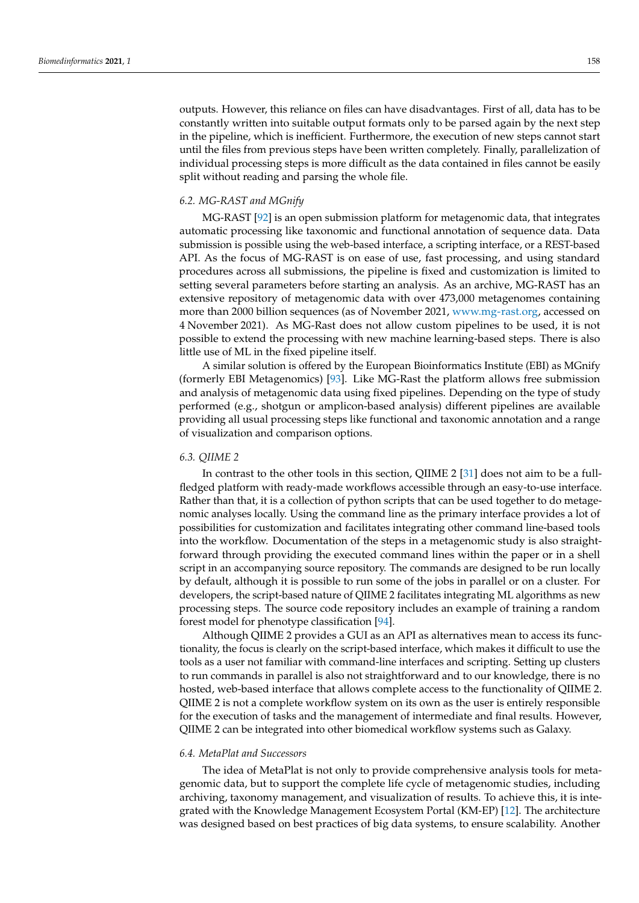outputs. However, this reliance on files can have disadvantages. First of all, data has to be constantly written into suitable output formats only to be parsed again by the next step in the pipeline, which is inefficient. Furthermore, the execution of new steps cannot start until the files from previous steps have been written completely. Finally, parallelization of individual processing steps is more difficult as the data contained in files cannot be easily split without reading and parsing the whole file.

## *6.2. MG-RAST and MGnify*

MG-RAST [\[92\]](#page-27-4) is an open submission platform for metagenomic data, that integrates automatic processing like taxonomic and functional annotation of sequence data. Data submission is possible using the web-based interface, a scripting interface, or a REST-based API. As the focus of MG-RAST is on ease of use, fast processing, and using standard procedures across all submissions, the pipeline is fixed and customization is limited to setting several parameters before starting an analysis. As an archive, MG-RAST has an extensive repository of metagenomic data with over 473,000 metagenomes containing more than 2000 billion sequences (as of November 2021, [www.mg-rast.org,](www.mg-rast.org) accessed on 4 November 2021). As MG-Rast does not allow custom pipelines to be used, it is not possible to extend the processing with new machine learning-based steps. There is also little use of ML in the fixed pipeline itself.

A similar solution is offered by the European Bioinformatics Institute (EBI) as MGnify (formerly EBI Metagenomics) [\[93\]](#page-27-5). Like MG-Rast the platform allows free submission and analysis of metagenomic data using fixed pipelines. Depending on the type of study performed (e.g., shotgun or amplicon-based analysis) different pipelines are available providing all usual processing steps like functional and taxonomic annotation and a range of visualization and comparison options.

## *6.3. QIIME 2*

In contrast to the other tools in this section, QIIME 2 [\[31\]](#page-25-5) does not aim to be a fullfledged platform with ready-made workflows accessible through an easy-to-use interface. Rather than that, it is a collection of python scripts that can be used together to do metagenomic analyses locally. Using the command line as the primary interface provides a lot of possibilities for customization and facilitates integrating other command line-based tools into the workflow. Documentation of the steps in a metagenomic study is also straightforward through providing the executed command lines within the paper or in a shell script in an accompanying source repository. The commands are designed to be run locally by default, although it is possible to run some of the jobs in parallel or on a cluster. For developers, the script-based nature of QIIME 2 facilitates integrating ML algorithms as new processing steps. The source code repository includes an example of training a random forest model for phenotype classification [\[94\]](#page-27-6).

Although QIIME 2 provides a GUI as an API as alternatives mean to access its functionality, the focus is clearly on the script-based interface, which makes it difficult to use the tools as a user not familiar with command-line interfaces and scripting. Setting up clusters to run commands in parallel is also not straightforward and to our knowledge, there is no hosted, web-based interface that allows complete access to the functionality of QIIME 2. QIIME 2 is not a complete workflow system on its own as the user is entirely responsible for the execution of tasks and the management of intermediate and final results. However, QIIME 2 can be integrated into other biomedical workflow systems such as Galaxy.

#### *6.4. MetaPlat and Successors*

The idea of MetaPlat is not only to provide comprehensive analysis tools for metagenomic data, but to support the complete life cycle of metagenomic studies, including archiving, taxonomy management, and visualization of results. To achieve this, it is integrated with the Knowledge Management Ecosystem Portal (KM-EP) [\[12\]](#page-24-11). The architecture was designed based on best practices of big data systems, to ensure scalability. Another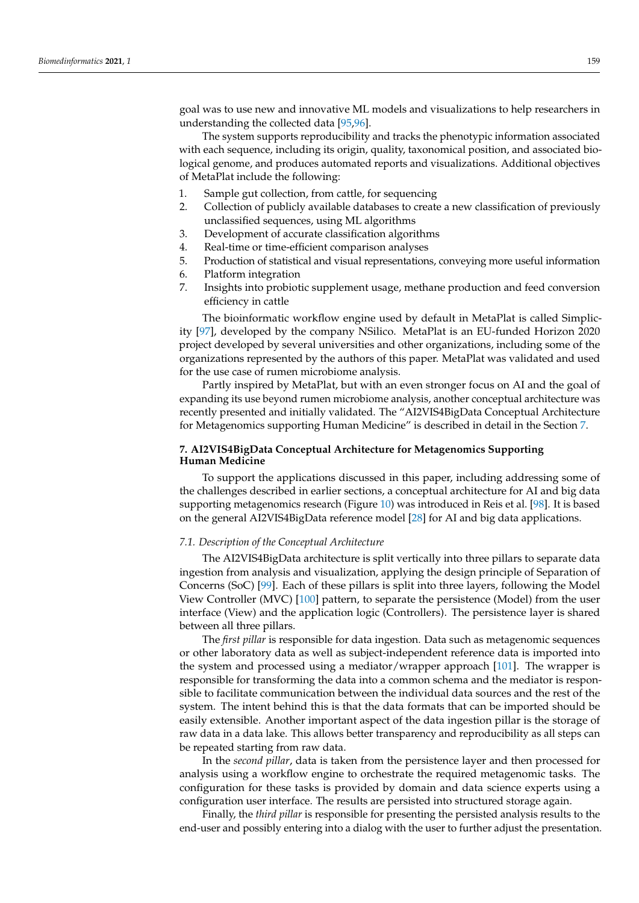goal was to use new and innovative ML models and visualizations to help researchers in understanding the collected data [\[95](#page-27-7)[,96\]](#page-27-8).

The system supports reproducibility and tracks the phenotypic information associated with each sequence, including its origin, quality, taxonomical position, and associated biological genome, and produces automated reports and visualizations. Additional objectives of MetaPlat include the following:

- 1. Sample gut collection, from cattle, for sequencing
- 2. Collection of publicly available databases to create a new classification of previously unclassified sequences, using ML algorithms
- 3. Development of accurate classification algorithms
- 4. Real-time or time-efficient comparison analyses
- 5. Production of statistical and visual representations, conveying more useful information
- 6. Platform integration
- 7. Insights into probiotic supplement usage, methane production and feed conversion efficiency in cattle

The bioinformatic workflow engine used by default in MetaPlat is called Simplicity [\[97\]](#page-27-9), developed by the company NSilico. MetaPlat is an EU-funded Horizon 2020 project developed by several universities and other organizations, including some of the organizations represented by the authors of this paper. MetaPlat was validated and used for the use case of rumen microbiome analysis.

Partly inspired by MetaPlat, but with an even stronger focus on AI and the goal of expanding its use beyond rumen microbiome analysis, another conceptual architecture was recently presented and initially validated. The "AI2VIS4BigData Conceptual Architecture for Metagenomics supporting Human Medicine" is described in detail in the Section [7.](#page-21-0)

# <span id="page-21-0"></span>**7. AI2VIS4BigData Conceptual Architecture for Metagenomics Supporting Human Medicine**

To support the applications discussed in this paper, including addressing some of the challenges described in earlier sections, a conceptual architecture for AI and big data supporting metagenomics research (Figure [10\)](#page-22-0) was introduced in Reis et al. [\[98\]](#page-27-10). It is based on the general AI2VIS4BigData reference model [\[28\]](#page-25-2) for AI and big data applications.

## *7.1. Description of the Conceptual Architecture*

The AI2VIS4BigData architecture is split vertically into three pillars to separate data ingestion from analysis and visualization, applying the design principle of Separation of Concerns (SoC) [\[99\]](#page-27-11). Each of these pillars is split into three layers, following the Model View Controller (MVC) [\[100\]](#page-27-12) pattern, to separate the persistence (Model) from the user interface (View) and the application logic (Controllers). The persistence layer is shared between all three pillars.

The *first pillar* is responsible for data ingestion. Data such as metagenomic sequences or other laboratory data as well as subject-independent reference data is imported into the system and processed using a mediator/wrapper approach [\[101\]](#page-27-13). The wrapper is responsible for transforming the data into a common schema and the mediator is responsible to facilitate communication between the individual data sources and the rest of the system. The intent behind this is that the data formats that can be imported should be easily extensible. Another important aspect of the data ingestion pillar is the storage of raw data in a data lake. This allows better transparency and reproducibility as all steps can be repeated starting from raw data.

In the *second pillar*, data is taken from the persistence layer and then processed for analysis using a workflow engine to orchestrate the required metagenomic tasks. The configuration for these tasks is provided by domain and data science experts using a configuration user interface. The results are persisted into structured storage again.

Finally, the *third pillar* is responsible for presenting the persisted analysis results to the end-user and possibly entering into a dialog with the user to further adjust the presentation.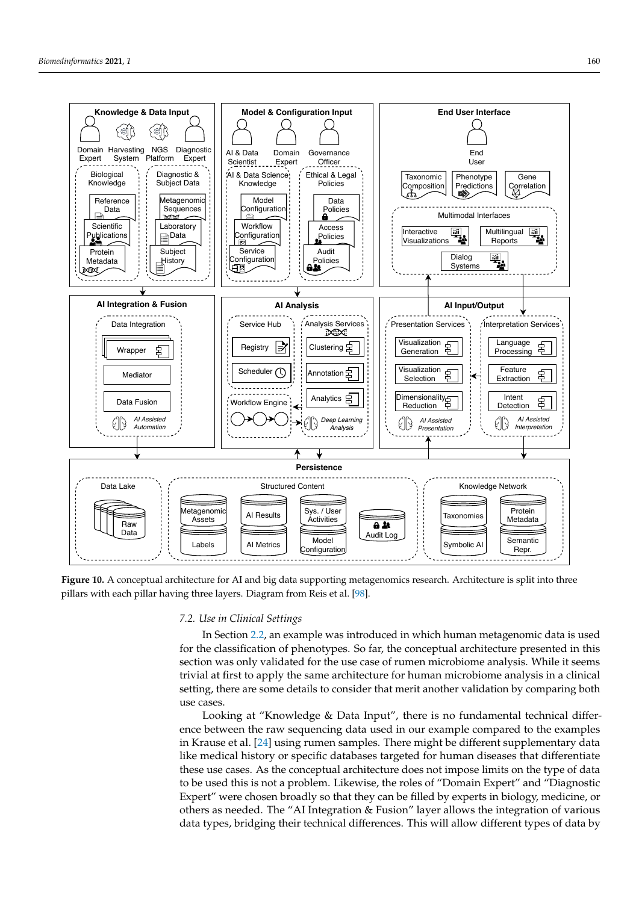<span id="page-22-0"></span>

**Figure 10.** A conceptual architecture for AI and big data supporting metagenomics research. Architecture is split into three pillars with each pillar having three layers. Diagram from Reis et al. [\[98\]](#page-27-10).

## *7.2. Use in Clinical Settings*

In Section [2.2,](#page-4-1) an example was introduced in which human metagenomic data is used for the classification of phenotypes. So far, the conceptual architecture presented in this section was only validated for the use case of rumen microbiome analysis. While it seems trivial at first to apply the same architecture for human microbiome analysis in a clinical setting, there are some details to consider that merit another validation by comparing both use cases.

Looking at "Knowledge & Data Input", there is no fundamental technical difference between the raw sequencing data used in our example compared to the examples in Krause et al. [\[24\]](#page-24-23) using rumen samples. There might be different supplementary data like medical history or specific databases targeted for human diseases that differentiate these use cases. As the conceptual architecture does not impose limits on the type of data to be used this is not a problem. Likewise, the roles of "Domain Expert" and "Diagnostic Expert" were chosen broadly so that they can be filled by experts in biology, medicine, or others as needed. The "AI Integration & Fusion" layer allows the integration of various data types, bridging their technical differences. This will allow different types of data by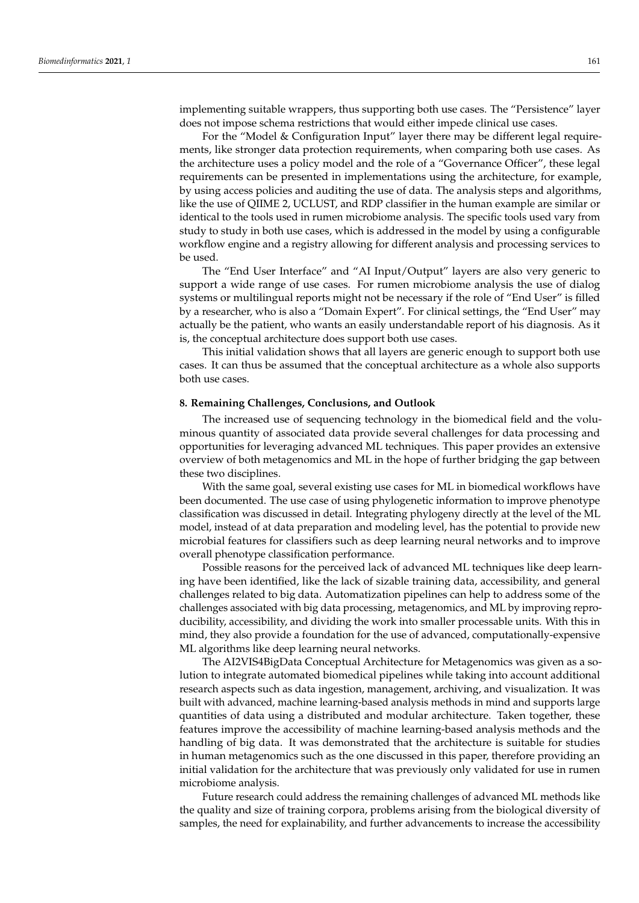implementing suitable wrappers, thus supporting both use cases. The "Persistence" layer does not impose schema restrictions that would either impede clinical use cases.

For the "Model & Configuration Input" layer there may be different legal requirements, like stronger data protection requirements, when comparing both use cases. As the architecture uses a policy model and the role of a "Governance Officer", these legal requirements can be presented in implementations using the architecture, for example, by using access policies and auditing the use of data. The analysis steps and algorithms, like the use of QIIME 2, UCLUST, and RDP classifier in the human example are similar or identical to the tools used in rumen microbiome analysis. The specific tools used vary from study to study in both use cases, which is addressed in the model by using a configurable workflow engine and a registry allowing for different analysis and processing services to be used.

The "End User Interface" and "AI Input/Output" layers are also very generic to support a wide range of use cases. For rumen microbiome analysis the use of dialog systems or multilingual reports might not be necessary if the role of "End User" is filled by a researcher, who is also a "Domain Expert". For clinical settings, the "End User" may actually be the patient, who wants an easily understandable report of his diagnosis. As it is, the conceptual architecture does support both use cases.

This initial validation shows that all layers are generic enough to support both use cases. It can thus be assumed that the conceptual architecture as a whole also supports both use cases.

## **8. Remaining Challenges, Conclusions, and Outlook**

The increased use of sequencing technology in the biomedical field and the voluminous quantity of associated data provide several challenges for data processing and opportunities for leveraging advanced ML techniques. This paper provides an extensive overview of both metagenomics and ML in the hope of further bridging the gap between these two disciplines.

With the same goal, several existing use cases for ML in biomedical workflows have been documented. The use case of using phylogenetic information to improve phenotype classification was discussed in detail. Integrating phylogeny directly at the level of the ML model, instead of at data preparation and modeling level, has the potential to provide new microbial features for classifiers such as deep learning neural networks and to improve overall phenotype classification performance.

Possible reasons for the perceived lack of advanced ML techniques like deep learning have been identified, like the lack of sizable training data, accessibility, and general challenges related to big data. Automatization pipelines can help to address some of the challenges associated with big data processing, metagenomics, and ML by improving reproducibility, accessibility, and dividing the work into smaller processable units. With this in mind, they also provide a foundation for the use of advanced, computationally-expensive ML algorithms like deep learning neural networks.

The AI2VIS4BigData Conceptual Architecture for Metagenomics was given as a solution to integrate automated biomedical pipelines while taking into account additional research aspects such as data ingestion, management, archiving, and visualization. It was built with advanced, machine learning-based analysis methods in mind and supports large quantities of data using a distributed and modular architecture. Taken together, these features improve the accessibility of machine learning-based analysis methods and the handling of big data. It was demonstrated that the architecture is suitable for studies in human metagenomics such as the one discussed in this paper, therefore providing an initial validation for the architecture that was previously only validated for use in rumen microbiome analysis.

Future research could address the remaining challenges of advanced ML methods like the quality and size of training corpora, problems arising from the biological diversity of samples, the need for explainability, and further advancements to increase the accessibility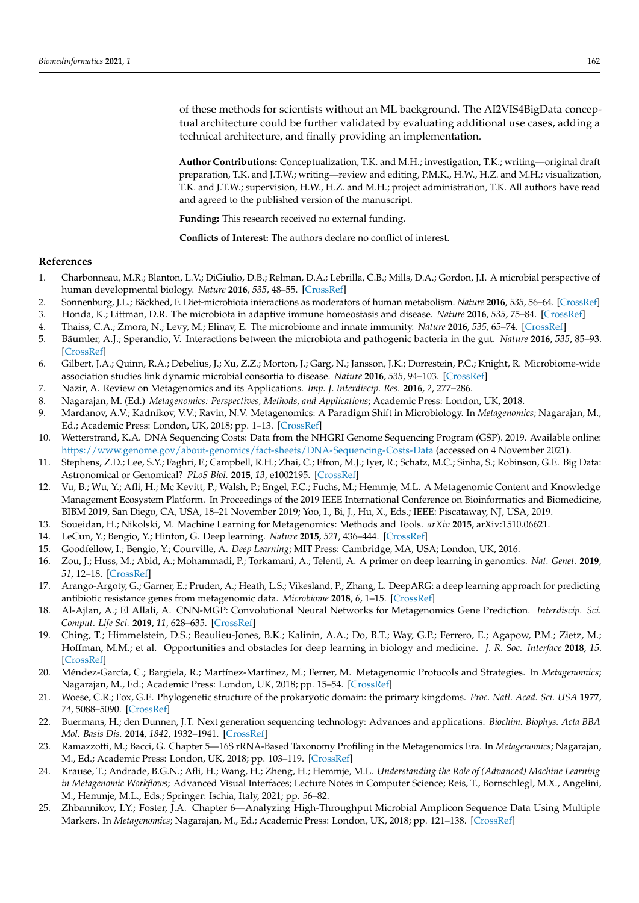of these methods for scientists without an ML background. The AI2VIS4BigData conceptual architecture could be further validated by evaluating additional use cases, adding a technical architecture, and finally providing an implementation.

**Author Contributions:** Conceptualization, T.K. and M.H.; investigation, T.K.; writing—original draft preparation, T.K. and J.T.W.; writing—review and editing, P.M.K., H.W., H.Z. and M.H.; visualization, T.K. and J.T.W.; supervision, H.W., H.Z. and M.H.; project administration, T.K. All authors have read and agreed to the published version of the manuscript.

**Funding:** This research received no external funding.

**Conflicts of Interest:** The authors declare no conflict of interest.

## **References**

- <span id="page-24-0"></span>1. Charbonneau, M.R.; Blanton, L.V.; DiGiulio, D.B.; Relman, D.A.; Lebrilla, C.B.; Mills, D.A.; Gordon, J.I. A microbial perspective of human developmental biology. *Nature* **2016**, *535*, 48–55. [\[CrossRef\]](http://doi.org/10.1038/nature18845)
- <span id="page-24-1"></span>2. Sonnenburg, J.L.; Bäckhed, F. Diet-microbiota interactions as moderators of human metabolism. *Nature* **2016**, *535*, 56–64. [\[CrossRef\]](http://dx.doi.org/10.1038/nature18846)
- <span id="page-24-2"></span>3. Honda, K.; Littman, D.R. The microbiota in adaptive immune homeostasis and disease. *Nature* **2016**, *535*, 75–84. [\[CrossRef\]](http://dx.doi.org/10.1038/nature18848)
- <span id="page-24-3"></span>4. Thaiss, C.A.; Zmora, N.; Levy, M.; Elinav, E. The microbiome and innate immunity. *Nature* **2016**, *535*, 65–74. [\[CrossRef\]](http://dx.doi.org/10.1038/nature18847)
- <span id="page-24-4"></span>5. Bäumler, A.J.; Sperandio, V. Interactions between the microbiota and pathogenic bacteria in the gut. *Nature* **2016**, *535*, 85–93. [\[CrossRef\]](http://dx.doi.org/10.1038/nature18849)
- <span id="page-24-5"></span>6. Gilbert, J.A.; Quinn, R.A.; Debelius, J.; Xu, Z.Z.; Morton, J.; Garg, N.; Jansson, J.K.; Dorrestein, P.C.; Knight, R. Microbiome-wide association studies link dynamic microbial consortia to disease. *Nature* **2016**, *535*, 94–103. [\[CrossRef\]](http://dx.doi.org/10.1038/nature18850)
- <span id="page-24-6"></span>7. Nazir, A. Review on Metagenomics and its Applications. *Imp. J. Interdiscip. Res.* **2016**, *2*, 277–286.
- <span id="page-24-7"></span>8. Nagarajan, M. (Ed.) *Metagenomics: Perspectives, Methods, and Applications*; Academic Press: London, UK, 2018.
- <span id="page-24-8"></span>9. Mardanov, A.V.; Kadnikov, V.V.; Ravin, N.V. Metagenomics: A Paradigm Shift in Microbiology. In *Metagenomics*; Nagarajan, M., Ed.; Academic Press: London, UK, 2018; pp. 1–13. [\[CrossRef\]](http://dx.doi.org/10.1016/B978-0-08-102268-9.00001-X)
- <span id="page-24-9"></span>10. Wetterstrand, K.A. DNA Sequencing Costs: Data from the NHGRI Genome Sequencing Program (GSP). 2019. Available online: <https://www.genome.gov/about-genomics/fact-sheets/DNA-Sequencing-Costs-Data> (accessed on 4 November 2021).
- <span id="page-24-10"></span>11. Stephens, Z.D.; Lee, S.Y.; Faghri, F.; Campbell, R.H.; Zhai, C.; Efron, M.J.; Iyer, R.; Schatz, M.C.; Sinha, S.; Robinson, G.E. Big Data: Astronomical or Genomical? *PLoS Biol.* **2015**, *13*, e1002195. [\[CrossRef\]](http://dx.doi.org/10.1371/journal.pbio.1002195)
- <span id="page-24-11"></span>12. Vu, B.; Wu, Y.; Afli, H.; Mc Kevitt, P.; Walsh, P.; Engel, F.C.; Fuchs, M.; Hemmje, M.L. A Metagenomic Content and Knowledge Management Ecosystem Platform. In Proceedings of the 2019 IEEE International Conference on Bioinformatics and Biomedicine, BIBM 2019, San Diego, CA, USA, 18–21 November 2019; Yoo, I., Bi, J., Hu, X., Eds.; IEEE: Piscataway, NJ, USA, 2019.
- <span id="page-24-12"></span>13. Soueidan, H.; Nikolski, M. Machine Learning for Metagenomics: Methods and Tools. *arXiv* **2015**, arXiv:1510.06621.
- <span id="page-24-13"></span>14. LeCun, Y.; Bengio, Y.; Hinton, G. Deep learning. *Nature* **2015**, *521*, 436–444. [\[CrossRef\]](http://dx.doi.org/10.1038/nature14539)
- <span id="page-24-14"></span>15. Goodfellow, I.; Bengio, Y.; Courville, A. *Deep Learning*; MIT Press: Cambridge, MA, USA; London, UK, 2016.
- <span id="page-24-15"></span>16. Zou, J.; Huss, M.; Abid, A.; Mohammadi, P.; Torkamani, A.; Telenti, A. A primer on deep learning in genomics. *Nat. Genet.* **2019**, *51*, 12–18. [\[CrossRef\]](http://dx.doi.org/10.1038/s41588-018-0295-5)
- <span id="page-24-16"></span>17. Arango-Argoty, G.; Garner, E.; Pruden, A.; Heath, L.S.; Vikesland, P.; Zhang, L. DeepARG: a deep learning approach for predicting antibiotic resistance genes from metagenomic data. *Microbiome* **2018**, *6*, 1–15. [\[CrossRef\]](http://dx.doi.org/10.1186/s40168-018-0401-z)
- <span id="page-24-17"></span>18. Al-Ajlan, A.; El Allali, A. CNN-MGP: Convolutional Neural Networks for Metagenomics Gene Prediction. *Interdiscip. Sci. Comput. Life Sci.* **2019**, *11*, 628–635. [\[CrossRef\]](http://dx.doi.org/10.1007/s12539-018-0313-4)
- <span id="page-24-18"></span>19. Ching, T.; Himmelstein, D.S.; Beaulieu-Jones, B.K.; Kalinin, A.A.; Do, B.T.; Way, G.P.; Ferrero, E.; Agapow, P.M.; Zietz, M.; Hoffman, M.M.; et al. Opportunities and obstacles for deep learning in biology and medicine. *J. R. Soc. Interface* **2018**, *15*. [\[CrossRef\]](http://dx.doi.org/10.1098/rsif.2017.0387)
- <span id="page-24-19"></span>20. Méndez-García, C.; Bargiela, R.; Martínez-Martínez, M.; Ferrer, M. Metagenomic Protocols and Strategies. In *Metagenomics*; Nagarajan, M., Ed.; Academic Press: London, UK, 2018; pp. 15–54. [\[CrossRef\]](http://dx.doi.org/10.1016/B978-0-08-102268-9.00002-1)
- <span id="page-24-20"></span>21. Woese, C.R.; Fox, G.E. Phylogenetic structure of the prokaryotic domain: the primary kingdoms. *Proc. Natl. Acad. Sci. USA* **1977**, *74*, 5088–5090. [\[CrossRef\]](http://dx.doi.org/10.1073/pnas.74.11.5088)
- <span id="page-24-21"></span>22. Buermans, H.; den Dunnen, J.T. Next generation sequencing technology: Advances and applications. *Biochim. Biophys. Acta BBA Mol. Basis Dis.* **2014**, *1842*, 1932–1941. [\[CrossRef\]](http://dx.doi.org/10.1016/j.bbadis.2014.06.015)
- <span id="page-24-22"></span>23. Ramazzotti, M.; Bacci, G. Chapter 5—16S rRNA-Based Taxonomy Profiling in the Metagenomics Era. In *Metagenomics*; Nagarajan, M., Ed.; Academic Press: London, UK, 2018; pp. 103–119. [\[CrossRef\]](http://dx.doi.org/10.1016/B978-0-08-102268-9.00005-7)
- <span id="page-24-23"></span>24. Krause, T.; Andrade, B.G.N.; Afli, H.; Wang, H.; Zheng, H.; Hemmje, M.L. *Understanding the Role of (Advanced) Machine Learning in Metagenomic Workflows*; Advanced Visual Interfaces; Lecture Notes in Computer Science; Reis, T., Bornschlegl, M.X., Angelini, M., Hemmje, M.L., Eds.; Springer: Ischia, Italy, 2021; pp. 56–82.
- <span id="page-24-24"></span>25. Zhbannikov, I.Y.; Foster, J.A. Chapter 6—Analyzing High-Throughput Microbial Amplicon Sequence Data Using Multiple Markers. In *Metagenomics*; Nagarajan, M., Ed.; Academic Press: London, UK, 2018; pp. 121–138. [\[CrossRef\]](http://dx.doi.org/10.1016/B978-0-08-102268-9.00006-9)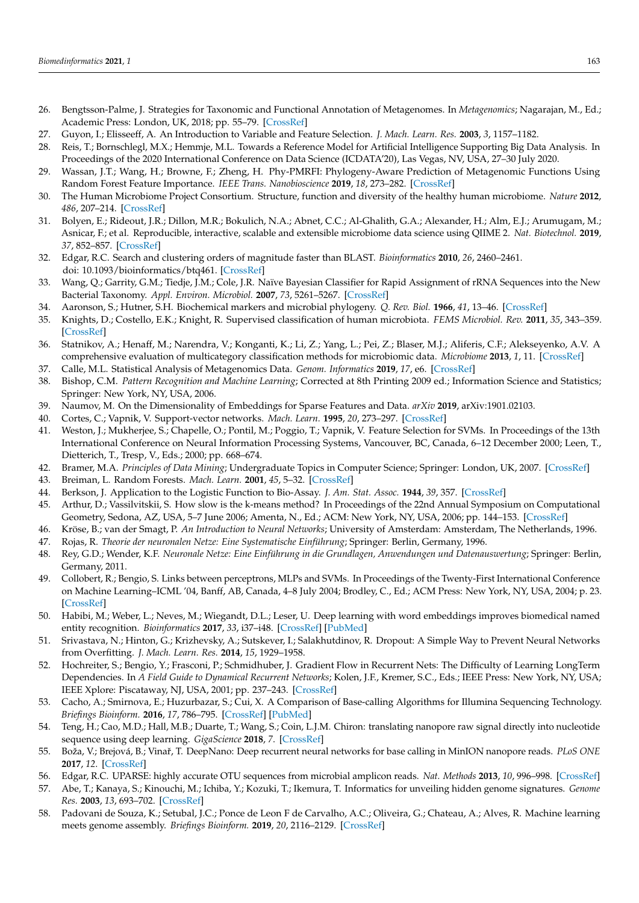- <span id="page-25-0"></span>26. Bengtsson-Palme, J. Strategies for Taxonomic and Functional Annotation of Metagenomes. In *Metagenomics*; Nagarajan, M., Ed.; Academic Press: London, UK, 2018; pp. 55–79. [\[CrossRef\]](http://dx.doi.org/10.1016/B978-0-08-102268-9.00003-3)
- <span id="page-25-1"></span>27. Guyon, I.; Elisseeff, A. An Introduction to Variable and Feature Selection. *J. Mach. Learn. Res.* **2003**, *3*, 1157–1182.
- <span id="page-25-2"></span>28. Reis, T.; Bornschlegl, M.X.; Hemmje, M.L. Towards a Reference Model for Artificial Intelligence Supporting Big Data Analysis. In Proceedings of the 2020 International Conference on Data Science (ICDATA'20), Las Vegas, NV, USA, 27–30 July 2020.
- <span id="page-25-3"></span>29. Wassan, J.T.; Wang, H.; Browne, F.; Zheng, H. Phy-PMRFI: Phylogeny-Aware Prediction of Metagenomic Functions Using Random Forest Feature Importance. *IEEE Trans. Nanobioscience* **2019**, *18*, 273–282. [\[CrossRef\]](http://dx.doi.org/10.1109/TNB.2019.2912824)
- <span id="page-25-4"></span>30. The Human Microbiome Project Consortium. Structure, function and diversity of the healthy human microbiome. *Nature* **2012**, *486*, 207–214. [\[CrossRef\]](http://dx.doi.org/10.1038/nature11234)
- <span id="page-25-5"></span>31. Bolyen, E.; Rideout, J.R.; Dillon, M.R.; Bokulich, N.A.; Abnet, C.C.; Al-Ghalith, G.A.; Alexander, H.; Alm, E.J.; Arumugam, M.; Asnicar, F.; et al. Reproducible, interactive, scalable and extensible microbiome data science using QIIME 2. *Nat. Biotechnol.* **2019**, *37*, 852–857. [\[CrossRef\]](http://dx.doi.org/10.1038/s41587-019-0209-9)
- <span id="page-25-6"></span>32. Edgar, R.C. Search and clustering orders of magnitude faster than BLAST. *Bioinformatics* **2010**, *26*, 2460–2461. doi: 10.1093/bioinformatics/btq461. [\[CrossRef\]](http://dx.doi.org/10.1093/bioinformatics/btq461)
- <span id="page-25-7"></span>33. Wang, Q.; Garrity, G.M.; Tiedje, J.M.; Cole, J.R. Naïve Bayesian Classifier for Rapid Assignment of rRNA Sequences into the New Bacterial Taxonomy. *Appl. Environ. Microbiol.* **2007**, *73*, 5261–5267. [\[CrossRef\]](http://dx.doi.org/10.1128/AEM.00062-07)
- <span id="page-25-8"></span>34. Aaronson, S.; Hutner, S.H. Biochemical markers and microbial phylogeny. *Q. Rev. Biol.* **1966**, *41*, 13–46. [\[CrossRef\]](http://dx.doi.org/10.1086/404842)
- <span id="page-25-9"></span>35. Knights, D.; Costello, E.K.; Knight, R. Supervised classification of human microbiota. *FEMS Microbiol. Rev.* **2011**, *35*, 343–359. [\[CrossRef\]](http://dx.doi.org/10.1111/j.1574-6976.2010.00251.x)
- <span id="page-25-10"></span>36. Statnikov, A.; Henaff, M.; Narendra, V.; Konganti, K.; Li, Z.; Yang, L.; Pei, Z.; Blaser, M.J.; Aliferis, C.F.; Alekseyenko, A.V. A comprehensive evaluation of multicategory classification methods for microbiomic data. *Microbiome* **2013**, *1*, 11. [\[CrossRef\]](http://dx.doi.org/10.1186/2049-2618-1-11)
- <span id="page-25-11"></span>37. Calle, M.L. Statistical Analysis of Metagenomics Data. *Genom. Informatics* **2019**, *17*, e6. [\[CrossRef\]](http://dx.doi.org/10.5808/GI.2019.17.1.e6)
- <span id="page-25-12"></span>38. Bishop, C.M. *Pattern Recognition and Machine Learning*; Corrected at 8th Printing 2009 ed.; Information Science and Statistics; Springer: New York, NY, USA, 2006.
- <span id="page-25-13"></span>39. Naumov, M. On the Dimensionality of Embeddings for Sparse Features and Data. *arXiv* **2019**, arXiv:1901.02103.
- <span id="page-25-14"></span>40. Cortes, C.; Vapnik, V. Support-vector networks. *Mach. Learn.* **1995**, *20*, 273–297. [\[CrossRef\]](http://dx.doi.org/10.1007/BF00994018)
- <span id="page-25-15"></span>41. Weston, J.; Mukherjee, S.; Chapelle, O.; Pontil, M.; Poggio, T.; Vapnik, V. Feature Selection for SVMs. In Proceedings of the 13th International Conference on Neural Information Processing Systems, Vancouver, BC, Canada, 6–12 December 2000; Leen, T., Dietterich, T., Tresp, V., Eds.; 2000; pp. 668–674.
- <span id="page-25-16"></span>42. Bramer, M.A. *Principles of Data Mining*; Undergraduate Topics in Computer Science; Springer: London, UK, 2007. [\[CrossRef\]](http://dx.doi.org/10.1007/978-1-84628-766-4)
- <span id="page-25-17"></span>43. Breiman, L. Random Forests. *Mach. Learn.* **2001**, *45*, 5–32. [\[CrossRef\]](http://dx.doi.org/10.1023/A:1010933404324)
- <span id="page-25-18"></span>44. Berkson, J. Application to the Logistic Function to Bio-Assay. *J. Am. Stat. Assoc.* **1944**, *39*, 357. [\[CrossRef\]](http://dx.doi.org/10.2307/2280041)
- <span id="page-25-19"></span>45. Arthur, D.; Vassilvitskii, S. How slow is the k-means method? In Proceedings of the 22nd Annual Symposium on Computational Geometry, Sedona, AZ, USA, 5–7 June 2006; Amenta, N., Ed.; ACM: New York, NY, USA, 2006; pp. 144–153. [\[CrossRef\]](http://dx.doi.org/10.1145/1137856.1137880)
- <span id="page-25-20"></span>46. Kröse, B.; van der Smagt, P. *An Introduction to Neural Networks*; University of Amsterdam: Amsterdam, The Netherlands, 1996.
- <span id="page-25-21"></span>47. Rojas, R. *Theorie der neuronalen Netze: Eine Systematische Einführung*; Springer: Berlin, Germany, 1996.
- <span id="page-25-22"></span>48. Rey, G.D.; Wender, K.F. *Neuronale Netze: Eine Einführung in die Grundlagen, Anwendungen und Datenauswertung*; Springer: Berlin, Germany, 2011.
- <span id="page-25-23"></span>49. Collobert, R.; Bengio, S. Links between perceptrons, MLPs and SVMs. In Proceedings of the Twenty-First International Conference on Machine Learning–ICML '04, Banff, AB, Canada, 4–8 July 2004; Brodley, C., Ed.; ACM Press: New York, NY, USA, 2004; p. 23. [\[CrossRef\]](http://dx.doi.org/10.1145/1015330.1015415)
- <span id="page-25-24"></span>50. Habibi, M.; Weber, L.; Neves, M.; Wiegandt, D.L.; Leser, U. Deep learning with word embeddings improves biomedical named entity recognition. *Bioinformatics* **2017**, *33*, i37–i48. [\[CrossRef\]](http://dx.doi.org/10.1093/bioinformatics/btx228) [\[PubMed\]](http://www.ncbi.nlm.nih.gov/pubmed/28881963)
- <span id="page-25-25"></span>51. Srivastava, N.; Hinton, G.; Krizhevsky, A.; Sutskever, I.; Salakhutdinov, R. Dropout: A Simple Way to Prevent Neural Networks from Overfitting. *J. Mach. Learn. Res.* **2014**, *15*, 1929–1958.
- <span id="page-25-26"></span>52. Hochreiter, S.; Bengio, Y.; Frasconi, P.; Schmidhuber, J. Gradient Flow in Recurrent Nets: The Difficulty of Learning LongTerm Dependencies. In *A Field Guide to Dynamical Recurrent Networks*; Kolen, J.F., Kremer, S.C., Eds.; IEEE Press: New York, NY, USA; IEEE Xplore: Piscataway, NJ, USA, 2001; pp. 237–243. [\[CrossRef\]](http://dx.doi.org/10.1109/9780470544037.ch14)
- <span id="page-25-27"></span>53. Cacho, A.; Smirnova, E.; Huzurbazar, S.; Cui, X. A Comparison of Base-calling Algorithms for Illumina Sequencing Technology. *Briefings Bioinform.* **2016**, *17*, 786–795. [\[CrossRef\]](http://dx.doi.org/10.1093/bib/bbv088) [\[PubMed\]](http://www.ncbi.nlm.nih.gov/pubmed/26443614)
- <span id="page-25-28"></span>54. Teng, H.; Cao, M.D.; Hall, M.B.; Duarte, T.; Wang, S.; Coin, L.J.M. Chiron: translating nanopore raw signal directly into nucleotide sequence using deep learning. *GigaScience* **2018**, *7*. [\[CrossRef\]](http://dx.doi.org/10.1093/gigascience/giy037)
- <span id="page-25-29"></span>55. Boža, V.; Brejová, B.; Vinaˇr, T. DeepNano: Deep recurrent neural networks for base calling in MinION nanopore reads. *PLoS ONE* **2017**, *12*. [\[CrossRef\]](http://dx.doi.org/10.1371/journal.pone.0178751)
- <span id="page-25-30"></span>56. Edgar, R.C. UPARSE: highly accurate OTU sequences from microbial amplicon reads. *Nat. Methods* **2013**, *10*, 996–998. [\[CrossRef\]](http://dx.doi.org/10.1038/nmeth.2604)
- <span id="page-25-31"></span>57. Abe, T.; Kanaya, S.; Kinouchi, M.; Ichiba, Y.; Kozuki, T.; Ikemura, T. Informatics for unveiling hidden genome signatures. *Genome Res.* **2003**, *13*, 693–702. [\[CrossRef\]](http://dx.doi.org/10.1101/gr.634603)
- <span id="page-25-32"></span>58. Padovani de Souza, K.; Setubal, J.C.; Ponce de Leon F de Carvalho, A.C.; Oliveira, G.; Chateau, A.; Alves, R. Machine learning meets genome assembly. *Briefings Bioinform.* **2019**, *20*, 2116–2129. [\[CrossRef\]](http://dx.doi.org/10.1093/bib/bby072)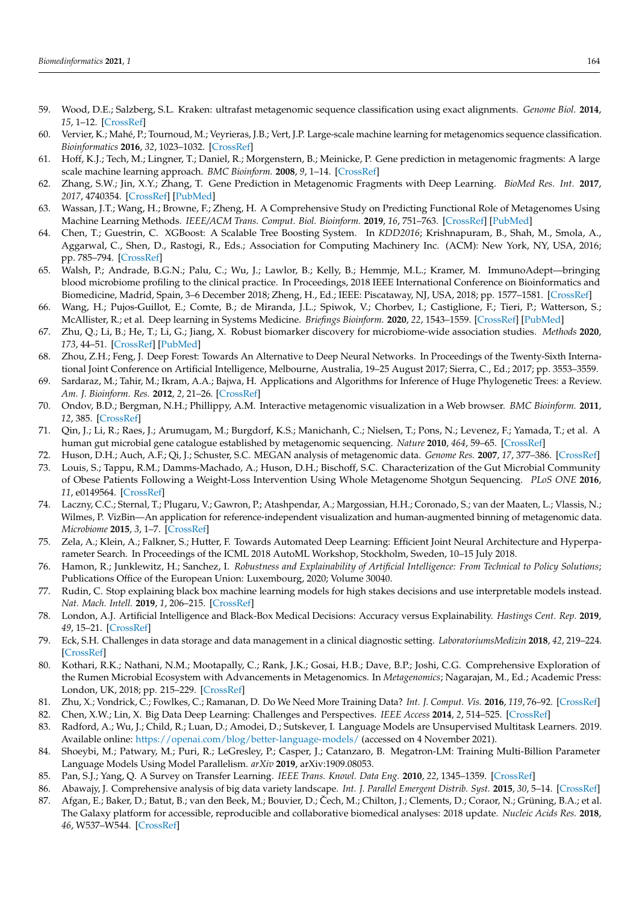- <span id="page-26-0"></span>59. Wood, D.E.; Salzberg, S.L. Kraken: ultrafast metagenomic sequence classification using exact alignments. *Genome Biol.* **2014**, *15*, 1–12. [\[CrossRef\]](http://dx.doi.org/10.1186/gb-2014-15-3-r46)
- <span id="page-26-1"></span>60. Vervier, K.; Mahé, P.; Tournoud, M.; Veyrieras, J.B.; Vert, J.P. Large-scale machine learning for metagenomics sequence classification. *Bioinformatics* **2016**, *32*, 1023–1032. [\[CrossRef\]](http://dx.doi.org/10.1093/bioinformatics/btv683)
- <span id="page-26-2"></span>61. Hoff, K.J.; Tech, M.; Lingner, T.; Daniel, R.; Morgenstern, B.; Meinicke, P. Gene prediction in metagenomic fragments: A large scale machine learning approach. *BMC Bioinform.* **2008**, *9*, 1–14. [\[CrossRef\]](http://dx.doi.org/10.1186/1471-2105-9-217)
- <span id="page-26-3"></span>62. Zhang, S.W.; Jin, X.Y.; Zhang, T. Gene Prediction in Metagenomic Fragments with Deep Learning. *BioMed Res. Int.* **2017**, *2017*, 4740354. [\[CrossRef\]](http://dx.doi.org/10.1155/2017/4740354) [\[PubMed\]](http://www.ncbi.nlm.nih.gov/pubmed/29250541)
- <span id="page-26-4"></span>63. Wassan, J.T.; Wang, H.; Browne, F.; Zheng, H. A Comprehensive Study on Predicting Functional Role of Metagenomes Using Machine Learning Methods. *IEEE/ACM Trans. Comput. Biol. Bioinform.* **2019**, *16*, 751–763. [\[CrossRef\]](http://dx.doi.org/10.1109/TCBB.2018.2858808) [\[PubMed\]](http://www.ncbi.nlm.nih.gov/pubmed/30040657)
- <span id="page-26-5"></span>64. Chen, T.; Guestrin, C. XGBoost: A Scalable Tree Boosting System. In *KDD2016*; Krishnapuram, B., Shah, M., Smola, A., Aggarwal, C., Shen, D., Rastogi, R., Eds.; Association for Computing Machinery Inc. (ACM): New York, NY, USA, 2016; pp. 785–794. [\[CrossRef\]](http://dx.doi.org/10.1145/2939672.2939785)
- <span id="page-26-6"></span>65. Walsh, P.; Andrade, B.G.N.; Palu, C.; Wu, J.; Lawlor, B.; Kelly, B.; Hemmje, M.L.; Kramer, M. ImmunoAdept—bringing blood microbiome profiling to the clinical practice. In Proceedings, 2018 IEEE International Conference on Bioinformatics and Biomedicine, Madrid, Spain, 3–6 December 2018; Zheng, H., Ed.; IEEE: Piscataway, NJ, USA, 2018; pp. 1577–1581. [\[CrossRef\]](http://dx.doi.org/10.1109/BIBM.2018.8621354)
- <span id="page-26-7"></span>66. Wang, H.; Pujos-Guillot, E.; Comte, B.; de Miranda, J.L.; Spiwok, V.; Chorbev, I.; Castiglione, F.; Tieri, P.; Watterson, S.; McAllister, R.; et al. Deep learning in Systems Medicine. *Briefings Bioinform.* **2020**, *22*, 1543–1559. [\[CrossRef\]](http://dx.doi.org/10.1093/bib/bbaa237) [\[PubMed\]](http://www.ncbi.nlm.nih.gov/pubmed/33197934)
- <span id="page-26-8"></span>67. Zhu, Q.; Li, B.; He, T.; Li, G.; Jiang, X. Robust biomarker discovery for microbiome-wide association studies. *Methods* **2020**, *173*, 44–51. [\[CrossRef\]](http://dx.doi.org/10.1016/j.ymeth.2019.06.012) [\[PubMed\]](http://www.ncbi.nlm.nih.gov/pubmed/31238097)
- <span id="page-26-9"></span>68. Zhou, Z.H.; Feng, J. Deep Forest: Towards An Alternative to Deep Neural Networks. In Proceedings of the Twenty-Sixth International Joint Conference on Artificial Intelligence, Melbourne, Australia, 19-25 August 2017; Sierra, C., Ed.; 2017; pp. 3553-3559.
- <span id="page-26-10"></span>69. Sardaraz, M.; Tahir, M.; Ikram, A.A.; Bajwa, H. Applications and Algorithms for Inference of Huge Phylogenetic Trees: a Review. *Am. J. Bioinform. Res.* **2012**, *2*, 21–26. [\[CrossRef\]](http://dx.doi.org/10.5923/j.bioinformatics.20120201.04)
- <span id="page-26-11"></span>70. Ondov, B.D.; Bergman, N.H.; Phillippy, A.M. Interactive metagenomic visualization in a Web browser. *BMC Bioinform.* **2011**, *12*, 385. [\[CrossRef\]](http://dx.doi.org/10.1186/1471-2105-12-385)
- <span id="page-26-12"></span>71. Qin, J.; Li, R.; Raes, J.; Arumugam, M.; Burgdorf, K.S.; Manichanh, C.; Nielsen, T.; Pons, N.; Levenez, F.; Yamada, T.; et al. A human gut microbial gene catalogue established by metagenomic sequencing. *Nature* **2010**, *464*, 59–65. [\[CrossRef\]](http://dx.doi.org/10.1038/nature08821)
- <span id="page-26-13"></span>72. Huson, D.H.; Auch, A.F.; Qi, J.; Schuster, S.C. MEGAN analysis of metagenomic data. *Genome Res.* **2007**, *17*, 377–386. [\[CrossRef\]](http://dx.doi.org/10.1101/gr.5969107)
- <span id="page-26-14"></span>73. Louis, S.; Tappu, R.M.; Damms-Machado, A.; Huson, D.H.; Bischoff, S.C. Characterization of the Gut Microbial Community of Obese Patients Following a Weight-Loss Intervention Using Whole Metagenome Shotgun Sequencing. *PLoS ONE* **2016**, *11*, e0149564. [\[CrossRef\]](http://dx.doi.org/10.1371/journal.pone.0149564)
- <span id="page-26-15"></span>74. Laczny, C.C.; Sternal, T.; Plugaru, V.; Gawron, P.; Atashpendar, A.; Margossian, H.H.; Coronado, S.; van der Maaten, L.; Vlassis, N.; Wilmes, P. VizBin—An application for reference-independent visualization and human-augmented binning of metagenomic data. *Microbiome* **2015**, *3*, 1–7. [\[CrossRef\]](http://dx.doi.org/10.1186/s40168-014-0066-1)
- <span id="page-26-16"></span>75. Zela, A.; Klein, A.; Falkner, S.; Hutter, F. Towards Automated Deep Learning: Efficient Joint Neural Architecture and Hyperparameter Search. In Proceedings of the ICML 2018 AutoML Workshop, Stockholm, Sweden, 10–15 July 2018.
- <span id="page-26-17"></span>76. Hamon, R.; Junklewitz, H.; Sanchez, I. *Robustness and Explainability of Artificial Intelligence: From Technical to Policy Solutions*; Publications Office of the European Union: Luxembourg, 2020; Volume 30040.
- <span id="page-26-18"></span>77. Rudin, C. Stop explaining black box machine learning models for high stakes decisions and use interpretable models instead. *Nat. Mach. Intell.* **2019**, *1*, 206–215. [\[CrossRef\]](http://dx.doi.org/10.1038/s42256-019-0048-x)
- <span id="page-26-19"></span>78. London, A.J. Artificial Intelligence and Black-Box Medical Decisions: Accuracy versus Explainability. *Hastings Cent. Rep.* **2019**, *49*, 15–21. [\[CrossRef\]](http://dx.doi.org/10.1002/hast.973)
- <span id="page-26-20"></span>79. Eck, S.H. Challenges in data storage and data management in a clinical diagnostic setting. *LaboratoriumsMedizin* **2018**, *42*, 219–224. [\[CrossRef\]](http://dx.doi.org/10.1515/labmed-2018-0054)
- <span id="page-26-21"></span>80. Kothari, R.K.; Nathani, N.M.; Mootapally, C.; Rank, J.K.; Gosai, H.B.; Dave, B.P.; Joshi, C.G. Comprehensive Exploration of the Rumen Microbial Ecosystem with Advancements in Metagenomics. In *Metagenomics*; Nagarajan, M., Ed.; Academic Press: London, UK, 2018; pp. 215–229. [\[CrossRef\]](http://dx.doi.org/10.1016/B978-0-08-102268-9.00011-2)
- <span id="page-26-22"></span>81. Zhu, X.; Vondrick, C.; Fowlkes, C.; Ramanan, D. Do We Need More Training Data? *Int. J. Comput. Vis.* **2016**, *119*, 76–92. [\[CrossRef\]](http://dx.doi.org/10.1007/s11263-015-0812-2)
- <span id="page-26-23"></span>82. Chen, X.W.; Lin, X. Big Data Deep Learning: Challenges and Perspectives. *IEEE Access* **2014**, *2*, 514–525. [\[CrossRef\]](http://dx.doi.org/10.1109/ACCESS.2014.2325029)
- <span id="page-26-24"></span>83. Radford, A.; Wu, J.; Child, R.; Luan, D.; Amodei, D.; Sutskever, I. Language Models are Unsupervised Multitask Learners. 2019. Available online: <https://openai.com/blog/better-language-models/> (accessed on 4 November 2021).
- <span id="page-26-25"></span>84. Shoeybi, M.; Patwary, M.; Puri, R.; LeGresley, P.; Casper, J.; Catanzaro, B. Megatron-LM: Training Multi-Billion Parameter Language Models Using Model Parallelism. *arXiv* **2019**, arXiv:1909.08053.
- <span id="page-26-26"></span>85. Pan, S.J.; Yang, Q. A Survey on Transfer Learning. *IEEE Trans. Knowl. Data Eng.* **2010**, *22*, 1345–1359. [\[CrossRef\]](http://dx.doi.org/10.1109/TKDE.2009.191)
- <span id="page-26-27"></span>86. Abawajy, J. Comprehensive analysis of big data variety landscape. *Int. J. Parallel Emergent Distrib. Syst.* **2015**, *30*, 5–14. [\[CrossRef\]](http://dx.doi.org/10.1080/17445760.2014.925548)
- <span id="page-26-28"></span>87. Afgan, E.; Baker, D.; Batut, B.; van den Beek, M.; Bouvier, D.; Čech, M.; Chilton, J.; Clements, D.; Coraor, N.; Grüning, B.A.; et al. The Galaxy platform for accessible, reproducible and collaborative biomedical analyses: 2018 update. *Nucleic Acids Res.* **2018**, *46*, W537–W544. [\[CrossRef\]](http://dx.doi.org/10.1093/nar/gky379)